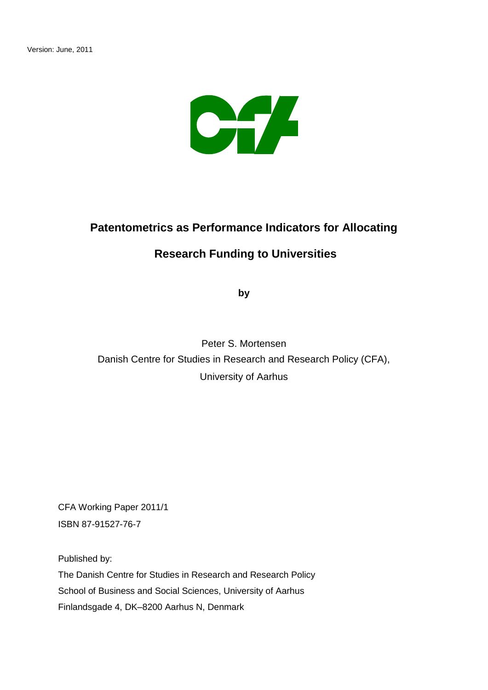

# **Patentometrics as Performance Indicators for Allocating**

## **Research Funding to Universities**

**by**

Peter S. Mortensen Danish Centre for Studies in Research and Research Policy (CFA), University of Aarhus

CFA Working Paper 2011/1 ISBN 87-91527-76-7

Published by:

The Danish Centre for Studies in Research and Research Policy School of Business and Social Sciences, University of Aarhus Finlandsgade 4, DK–8200 Aarhus N, Denmark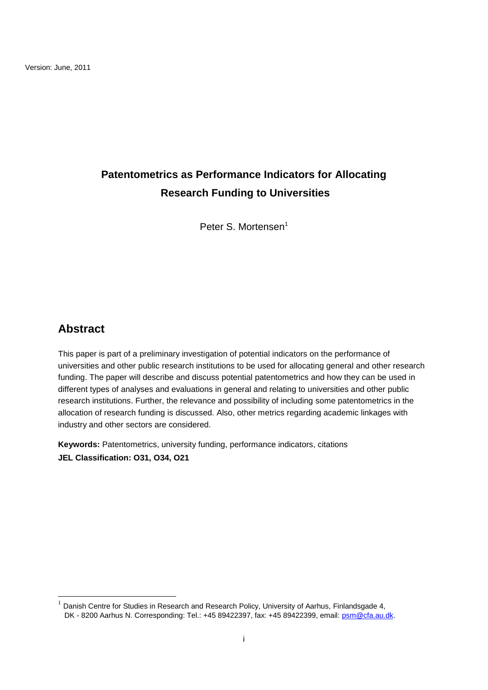# **Patentometrics as Performance Indicators for Allocating Research Funding to Universities**

Peter S. Mortensen<sup>1</sup>

## **Abstract**

 $\overline{\phantom{a}}$ 

This paper is part of a preliminary investigation of potential indicators on the performance of universities and other public research institutions to be used for allocating general and other research funding. The paper will describe and discuss potential patentometrics and how they can be used in different types of analyses and evaluations in general and relating to universities and other public research institutions. Further, the relevance and possibility of including some patentometrics in the allocation of research funding is discussed. Also, other metrics regarding academic linkages with industry and other sectors are considered.

**Keywords:** Patentometrics, university funding, performance indicators, citations **JEL Classification: O31, O34, O21**

<sup>1</sup> Danish Centre for Studies in Research and Research Policy, University of Aarhus, Finlandsgade 4, DK - 8200 Aarhus N. Corresponding: Tel.: +45 89422397, fax: +45 89422399, email: [psm@cfa.au.dk.](mailto:psm@cfa.au.dk)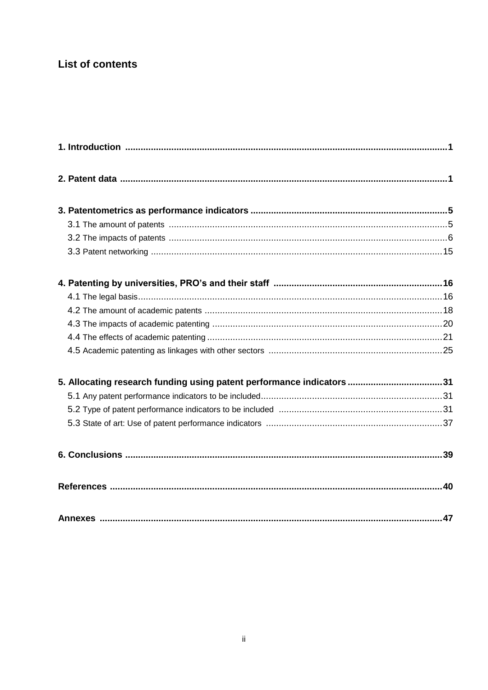## **List of contents**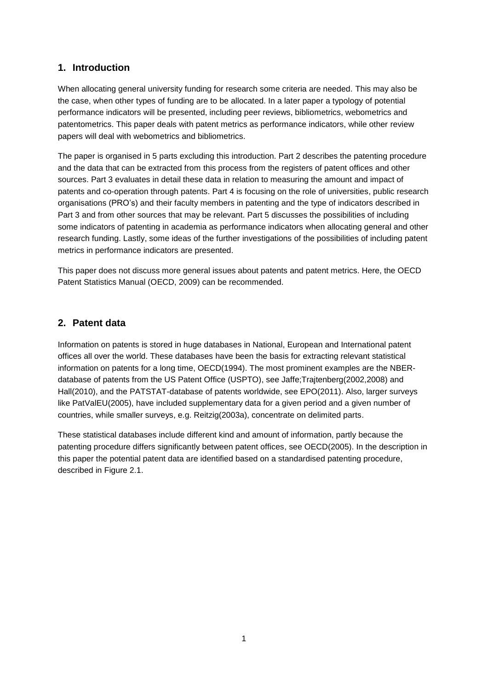### **1. Introduction**

When allocating general university funding for research some criteria are needed. This may also be the case, when other types of funding are to be allocated. In a later paper a typology of potential performance indicators will be presented, including peer reviews, bibliometrics, webometrics and patentometrics. This paper deals with patent metrics as performance indicators, while other review papers will deal with webometrics and bibliometrics.

The paper is organised in 5 parts excluding this introduction. Part 2 describes the patenting procedure and the data that can be extracted from this process from the registers of patent offices and other sources. Part 3 evaluates in detail these data in relation to measuring the amount and impact of patents and co-operation through patents. Part 4 is focusing on the role of universities, public research organisations (PRO's) and their faculty members in patenting and the type of indicators described in Part 3 and from other sources that may be relevant. Part 5 discusses the possibilities of including some indicators of patenting in academia as performance indicators when allocating general and other research funding. Lastly, some ideas of the further investigations of the possibilities of including patent metrics in performance indicators are presented.

This paper does not discuss more general issues about patents and patent metrics. Here, the OECD Patent Statistics Manual (OECD, 2009) can be recommended.

### **2. Patent data**

Information on patents is stored in huge databases in National, European and International patent offices all over the world. These databases have been the basis for extracting relevant statistical information on patents for a long time, OECD(1994). The most prominent examples are the NBERdatabase of patents from the US Patent Office (USPTO), see Jaffe;Trajtenberg(2002,2008) and Hall(2010), and the PATSTAT-database of patents worldwide, see EPO(2011). Also, larger surveys like PatValEU(2005), have included supplementary data for a given period and a given number of countries, while smaller surveys, e.g. Reitzig(2003a), concentrate on delimited parts.

These statistical databases include different kind and amount of information, partly because the patenting procedure differs significantly between patent offices, see OECD(2005). In the description in this paper the potential patent data are identified based on a standardised patenting procedure, described in Figure 2.1.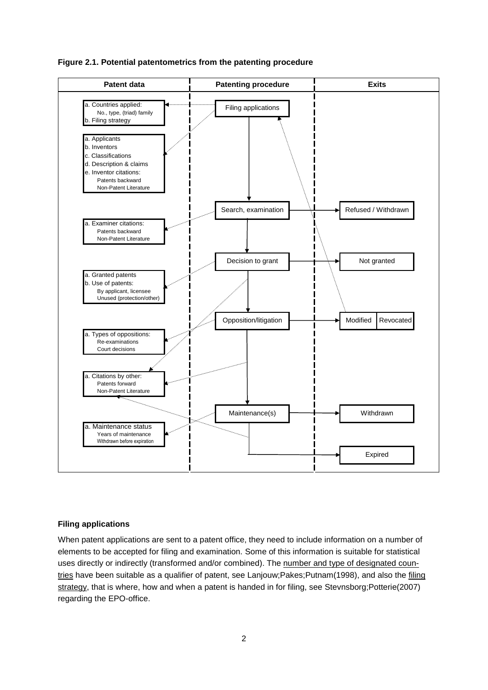



#### **Filing applications**

When patent applications are sent to a patent office, they need to include information on a number of elements to be accepted for filing and examination. Some of this information is suitable for statistical uses directly or indirectly (transformed and/or combined). The number and type of designated countries have been suitable as a qualifier of patent, see Lanjouw;Pakes;Putnam(1998), and also the filing strategy, that is where, how and when a patent is handed in for filing, see Stevnsborg;Potterie(2007) regarding the EPO-office.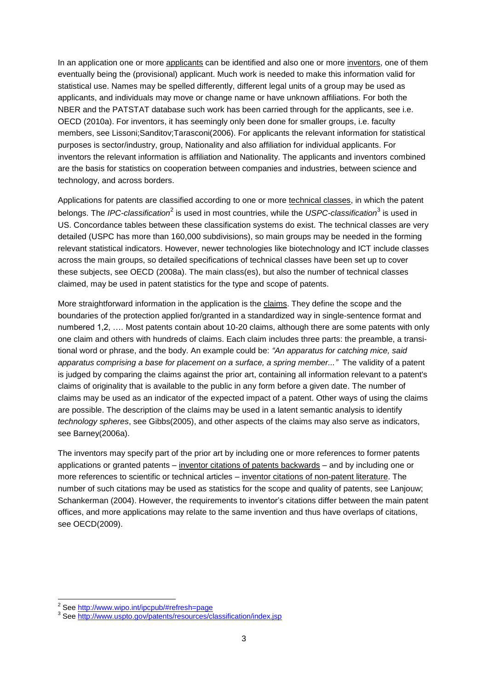In an application one or more applicants can be identified and also one or more inventors, one of them eventually being the (provisional) applicant. Much work is needed to make this information valid for statistical use. Names may be spelled differently, different legal units of a group may be used as applicants, and individuals may move or change name or have unknown affiliations. For both the NBER and the PATSTAT database such work has been carried through for the applicants, see i.e. OECD (2010a). For inventors, it has seemingly only been done for smaller groups, i.e. faculty members, see Lissoni;Sanditov;Tarasconi(2006). For applicants the relevant information for statistical purposes is sector/industry, group, Nationality and also affiliation for individual applicants. For inventors the relevant information is affiliation and Nationality. The applicants and inventors combined are the basis for statistics on cooperation between companies and industries, between science and technology, and across borders.

Applications for patents are classified according to one or more technical classes, in which the patent belongs. The *IPC-classification<sup>2</sup>* is used in most countries, while the *USPC-classification*<sup>3</sup> is used in US. Concordance tables between these classification systems do exist. The technical classes are very detailed (USPC has more than 160,000 subdivisions), so main groups may be needed in the forming relevant statistical indicators. However, newer technologies like biotechnology and ICT include classes across the main groups, so detailed specifications of technical classes have been set up to cover these subjects, see OECD (2008a). The main class(es), but also the number of technical classes claimed, may be used in patent statistics for the type and scope of patents.

More straightforward information in the application is the claims. They define the scope and the boundaries of the protection applied for/granted in a standardized way in single-sentence format and numbered 1,2, .... Most patents contain about 10-20 claims, although there are some patents with only one claim and others with hundreds of claims. Each claim includes three parts: the preamble, a transitional word or phrase, and the body. An example could be: *"An apparatus for catching mice, said apparatus comprising a base for placement on a surface, a spring member..."* The validity of a patent is judged by comparing the claims against the prior art, containing all information relevant to a patent's claims of originality that is available to the public in any form before a given date. The number of claims may be used as an indicator of the expected impact of a patent. Other ways of using the claims are possible. The description of the claims may be used in a latent semantic analysis to identify *technology spheres*, see Gibbs(2005), and other aspects of the claims may also serve as indicators, see Barney(2006a).

The inventors may specify part of the prior art by including one or more references to former patents applications or granted patents – inventor citations of patents backwards – and by including one or more references to scientific or technical articles – inventor citations of non-patent literature. The number of such citations may be used as statistics for the scope and quality of patents, see Lanjouw; Schankerman (2004). However, the requirements to inventor's citations differ between the main patent offices, and more applications may relate to the same invention and thus have overlaps of citations, see OECD(2009).

<sup>&</sup>lt;sup>2</sup> See <u>http://www.wipo.int/ipcpub/#refresh=page</u>

<sup>&</sup>lt;sup>3</sup> See<http://www.uspto.gov/patents/resources/classification/index.jsp>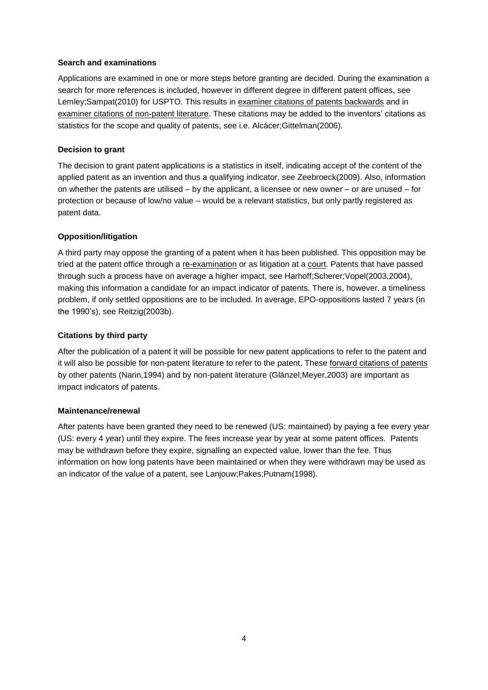### **Search and examinations**

Applications are examined in one or more steps before granting are decided. During the examination a search for more references is included, however in different degree in different patent offices, see Lemley; Sampat(2010) for USPTO. This results in examiner citations of patents backwards and in examiner citations of non-patent literature. These citations may be added to the inventors' citations as statistics for the scope and quality of patents, see i.e. Alcácer;Gittelman(2006).

### **Decision to grant**

The decision to grant patent applications is a statistics in itself, indicating accept of the content of the applied patent as an invention and thus a qualifying indicator, see Zeebroeck(2009). Also, information on whether the patents are utilised – by the applicant, a licensee or new owner – or are unused – for protection or because of low/no value – would be a relevant statistics, but only partly registered as patent data.

### **Opposition/litigation**

A third party may oppose the granting of a patent when it has been published. This opposition may be tried at the patent office through a re-examination or as litigation at a court. Patents that have passed through such a process have on average a higher impact, see Harhoff;Scherer;Vopel(2003,2004), making this information a candidate for an impact indicator of patents. There is, however, a timeliness problem, if only settled oppositions are to be included. In average, EPO-oppositions lasted 7 years (in the 1990's), see Reitzig(2003b).

### **Citations by third party**

After the publication of a patent it will be possible for new patent applications to refer to the patent and it will also be possible for non-patent literature to refer to the patent. These forward citations of patents by other patents (Narin,1994) and by non-patent literature (Glänzel;Meyer,2003) are important as impact indicators of patents.

### **Maintenance/renewal**

After patents have been granted they need to be renewed (US: maintained) by paying a fee every year (US: every 4 year) until they expire. The fees increase year by year at some patent offices. Patents may be withdrawn before they expire, signalling an expected value, lower than the fee. Thus information on how long patents have been maintained or when they were withdrawn may be used as an indicator of the value of a patent, see Lanjouw;Pakes;Putnam(1998).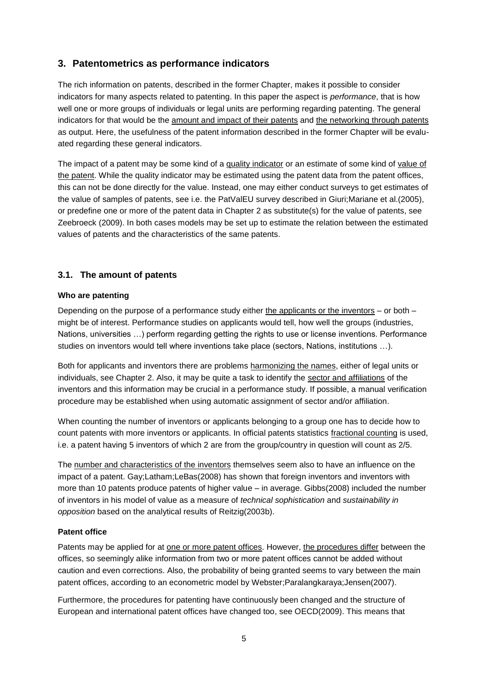### **3. Patentometrics as performance indicators**

The rich information on patents, described in the former Chapter, makes it possible to consider indicators for many aspects related to patenting. In this paper the aspect is *performance*, that is how well one or more groups of individuals or legal units are performing regarding patenting. The general indicators for that would be the amount and impact of their patents and the networking through patents as output. Here, the usefulness of the patent information described in the former Chapter will be evaluated regarding these general indicators.

The impact of a patent may be some kind of a quality indicator or an estimate of some kind of value of the patent. While the quality indicator may be estimated using the patent data from the patent offices, this can not be done directly for the value. Instead, one may either conduct surveys to get estimates of the value of samples of patents, see i.e. the PatValEU survey described in Giuri;Mariane et al.(2005), or predefine one or more of the patent data in Chapter 2 as substitute(s) for the value of patents, see Zeebroeck (2009). In both cases models may be set up to estimate the relation between the estimated values of patents and the characteristics of the same patents.

### **3.1. The amount of patents**

### **Who are patenting**

Depending on the purpose of a performance study either the applicants or the inventors – or both – might be of interest. Performance studies on applicants would tell, how well the groups (industries, Nations, universities …) perform regarding getting the rights to use or license inventions. Performance studies on inventors would tell where inventions take place (sectors, Nations, institutions …).

Both for applicants and inventors there are problems harmonizing the names, either of legal units or individuals, see Chapter 2. Also, it may be quite a task to identify the sector and affiliations of the inventors and this information may be crucial in a performance study. If possible, a manual verification procedure may be established when using automatic assignment of sector and/or affiliation.

When counting the number of inventors or applicants belonging to a group one has to decide how to count patents with more inventors or applicants. In official patents statistics fractional counting is used, i.e. a patent having 5 inventors of which 2 are from the group/country in question will count as 2/5.

The number and characteristics of the inventors themselves seem also to have an influence on the impact of a patent. Gay;Latham;LeBas(2008) has shown that foreign inventors and inventors with more than 10 patents produce patents of higher value – in average. Gibbs(2008) included the number of inventors in his model of value as a measure of *technical sophistication* and *sustainability in opposition* based on the analytical results of Reitzig(2003b).

### **Patent office**

Patents may be applied for at one or more patent offices. However, the procedures differ between the offices, so seemingly alike information from two or more patent offices cannot be added without caution and even corrections. Also, the probability of being granted seems to vary between the main patent offices, according to an econometric model by Webster;Paralangkaraya;Jensen(2007).

Furthermore, the procedures for patenting have continuously been changed and the structure of European and international patent offices have changed too, see OECD(2009). This means that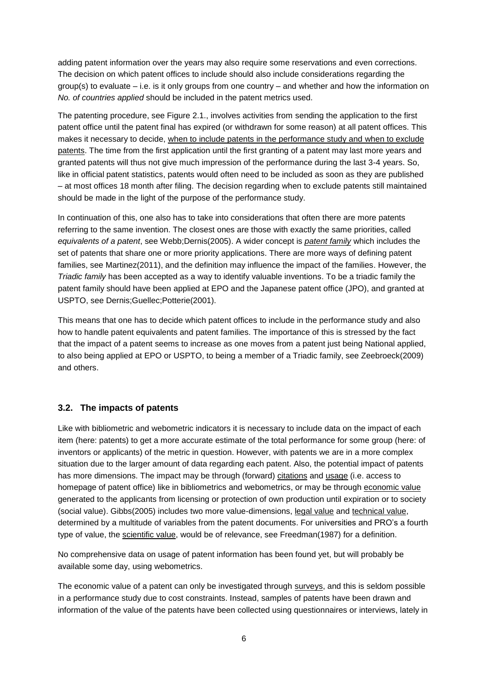adding patent information over the years may also require some reservations and even corrections. The decision on which patent offices to include should also include considerations regarding the group(s) to evaluate – i.e. is it only groups from one country – and whether and how the information on *No. of countries applied* should be included in the patent metrics used.

The patenting procedure, see Figure 2.1., involves activities from sending the application to the first patent office until the patent final has expired (or withdrawn for some reason) at all patent offices. This makes it necessary to decide, when to include patents in the performance study and when to exclude patents. The time from the first application until the first granting of a patent may last more years and granted patents will thus not give much impression of the performance during the last 3-4 years. So, like in official patent statistics, patents would often need to be included as soon as they are published – at most offices 18 month after filing. The decision regarding when to exclude patents still maintained should be made in the light of the purpose of the performance study.

In continuation of this, one also has to take into considerations that often there are more patents referring to the same invention. The closest ones are those with exactly the same priorities, called *equivalents of a patent*, see Webb;Dernis(2005). A wider concept is *patent family* which includes the set of patents that share one or more priority applications. There are more ways of defining patent families, see Martinez(2011), and the definition may influence the impact of the families. However, the *Triadic family* has been accepted as a way to identify valuable inventions. To be a triadic family the patent family should have been applied at EPO and the Japanese patent office (JPO), and granted at USPTO, see Dernis;Guellec;Potterie(2001).

This means that one has to decide which patent offices to include in the performance study and also how to handle patent equivalents and patent families. The importance of this is stressed by the fact that the impact of a patent seems to increase as one moves from a patent just being National applied, to also being applied at EPO or USPTO, to being a member of a Triadic family, see Zeebroeck(2009) and others.

### **3.2. The impacts of patents**

Like with bibliometric and webometric indicators it is necessary to include data on the impact of each item (here: patents) to get a more accurate estimate of the total performance for some group (here: of inventors or applicants) of the metric in question. However, with patents we are in a more complex situation due to the larger amount of data regarding each patent. Also, the potential impact of patents has more dimensions. The impact may be through (forward) citations and usage (i.e. access to homepage of patent office) like in bibliometrics and webometrics, or may be through economic value generated to the applicants from licensing or protection of own production until expiration or to society (social value). Gibbs(2005) includes two more value-dimensions, legal value and technical value, determined by a multitude of variables from the patent documents. For universities and PRO's a fourth type of value, the scientific value, would be of relevance, see Freedman(1987) for a definition.

No comprehensive data on usage of patent information has been found yet, but will probably be available some day, using webometrics.

The economic value of a patent can only be investigated through surveys, and this is seldom possible in a performance study due to cost constraints. Instead, samples of patents have been drawn and information of the value of the patents have been collected using questionnaires or interviews, lately in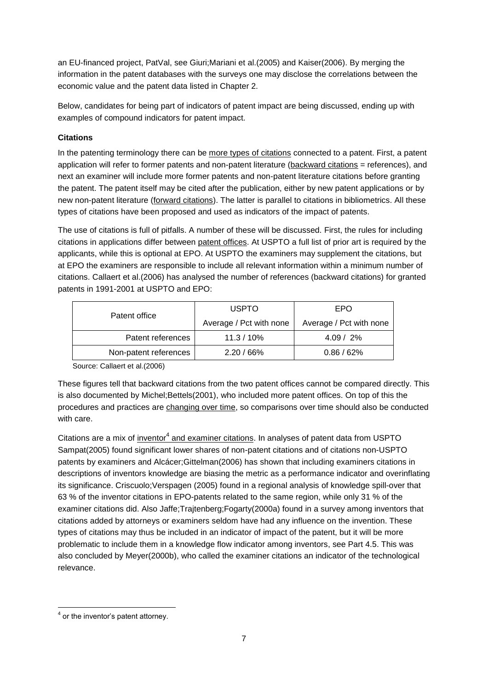an EU-financed project, PatVal, see Giuri;Mariani et al.(2005) and Kaiser(2006). By merging the information in the patent databases with the surveys one may disclose the correlations between the economic value and the patent data listed in Chapter 2.

Below, candidates for being part of indicators of patent impact are being discussed, ending up with examples of compound indicators for patent impact.

### **Citations**

In the patenting terminology there can be more types of citations connected to a patent. First, a patent application will refer to former patents and non-patent literature (backward citations = references), and next an examiner will include more former patents and non-patent literature citations before granting the patent. The patent itself may be cited after the publication, either by new patent applications or by new non-patent literature (forward citations). The latter is parallel to citations in bibliometrics. All these types of citations have been proposed and used as indicators of the impact of patents.

The use of citations is full of pitfalls. A number of these will be discussed. First, the rules for including citations in applications differ between patent offices. At USPTO a full list of prior art is required by the applicants, while this is optional at EPO. At USPTO the examiners may supplement the citations, but at EPO the examiners are responsible to include all relevant information within a minimum number of citations. Callaert et al.(2006) has analysed the number of references (backward citations) for granted patents in 1991-2001 at USPTO and EPO:

| Patent office         | <b>USPTO</b>            | EPO                     |  |
|-----------------------|-------------------------|-------------------------|--|
|                       | Average / Pct with none | Average / Pct with none |  |
| Patent references     | $11.3 / 10\%$           | $4.09 / 2\%$            |  |
| Non-patent references | $2.20 / 66\%$           | 0.86/62%                |  |

Source: Callaert et al.(2006)

These figures tell that backward citations from the two patent offices cannot be compared directly. This is also documented by Michel;Bettels(2001), who included more patent offices. On top of this the procedures and practices are changing over time, so comparisons over time should also be conducted with care.

Citations are a mix of *inventor<sup>4</sup>* and examiner citations. In analyses of patent data from USPTO Sampat(2005) found significant lower shares of non-patent citations and of citations non-USPTO patents by examiners and Alcácer;Gittelman(2006) has shown that including examiners citations in descriptions of inventors knowledge are biasing the metric as a performance indicator and overinflating its significance. Criscuolo;Verspagen (2005) found in a regional analysis of knowledge spill-over that 63 % of the inventor citations in EPO-patents related to the same region, while only 31 % of the examiner citations did. Also Jaffe;Trajtenberg;Fogarty(2000a) found in a survey among inventors that citations added by attorneys or examiners seldom have had any influence on the invention. These types of citations may thus be included in an indicator of impact of the patent, but it will be more problematic to include them in a knowledge flow indicator among inventors, see Part 4.5. This was also concluded by Meyer(2000b), who called the examiner citations an indicator of the technological relevance.

l  $<sup>4</sup>$  or the inventor's patent attorney.</sup>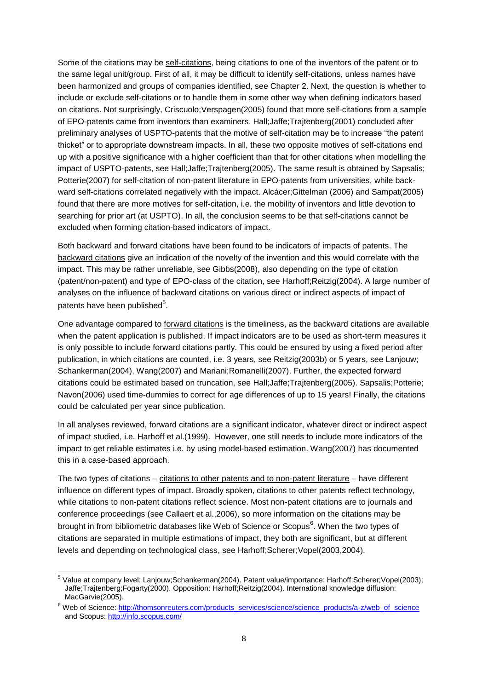Some of the citations may be self-citations, being citations to one of the inventors of the patent or to the same legal unit/group. First of all, it may be difficult to identify self-citations, unless names have been harmonized and groups of companies identified, see Chapter 2. Next, the question is whether to include or exclude self-citations or to handle them in some other way when defining indicators based on citations. Not surprisingly, Criscuolo;Verspagen(2005) found that more self-citations from a sample of EPO-patents came from inventors than examiners. Hall;Jaffe;Trajtenberg(2001) concluded after preliminary analyses of USPTO-patents that the motive of self-citation may be to increase "the patent thicket" or to appropriate downstream impacts. In all, these two opposite motives of self-citations end up with a positive significance with a higher coefficient than that for other citations when modelling the impact of USPTO-patents, see Hall;Jaffe;Trajtenberg(2005). The same result is obtained by Sapsalis; Potterie(2007) for self-citation of non-patent literature in EPO-patents from universities, while backward self-citations correlated negatively with the impact. Alcácer;Gittelman (2006) and Sampat(2005) found that there are more motives for self-citation, i.e. the mobility of inventors and little devotion to searching for prior art (at USPTO). In all, the conclusion seems to be that self-citations cannot be excluded when forming citation-based indicators of impact.

Both backward and forward citations have been found to be indicators of impacts of patents. The backward citations give an indication of the novelty of the invention and this would correlate with the impact. This may be rather unreliable, see Gibbs(2008), also depending on the type of citation (patent/non-patent) and type of EPO-class of the citation, see Harhoff;Reitzig(2004). A large number of analyses on the influence of backward citations on various direct or indirect aspects of impact of patents have been published $5$ .

One advantage compared to forward citations is the timeliness, as the backward citations are available when the patent application is published. If impact indicators are to be used as short-term measures it is only possible to include forward citations partly. This could be ensured by using a fixed period after publication, in which citations are counted, i.e. 3 years, see Reitzig(2003b) or 5 years, see Lanjouw; Schankerman(2004), Wang(2007) and Mariani;Romanelli(2007). Further, the expected forward citations could be estimated based on truncation, see Hall;Jaffe;Trajtenberg(2005). Sapsalis;Potterie; Navon(2006) used time-dummies to correct for age differences of up to 15 years! Finally, the citations could be calculated per year since publication.

In all analyses reviewed, forward citations are a significant indicator, whatever direct or indirect aspect of impact studied, i.e. Harhoff et al.(1999). However, one still needs to include more indicators of the impact to get reliable estimates i.e. by using model-based estimation. Wang(2007) has documented this in a case-based approach.

The two types of citations – citations to other patents and to non-patent literature – have different influence on different types of impact. Broadly spoken, citations to other patents reflect technology, while citations to non-patent citations reflect science. Most non-patent citations are to journals and conference proceedings (see Callaert et al.,2006), so more information on the citations may be brought in from bibliometric databases like Web of Science or Scopus<sup>6</sup>. When the two types of citations are separated in multiple estimations of impact, they both are significant, but at different levels and depending on technological class, see Harhoff;Scherer;Vopel(2003,2004).

 5 Value at company level: Lanjouw;Schankerman(2004). Patent value/importance: Harhoff;Scherer;Vopel(2003); Jaffe;Trajtenberg;Fogarty(2000). Opposition: Harhoff;Reitzig(2004). International knowledge diffusion: MacGarvie(2005).

<sup>&</sup>lt;sup>6</sup> Web of Science[: http://thomsonreuters.com/products\\_services/science/science\\_products/a-z/web\\_of\\_science](http://thomsonreuters.com/products_services/science/science_products/a-z/web_of_science) and Scopus[: http://info.scopus.com/](http://info.scopus.com/)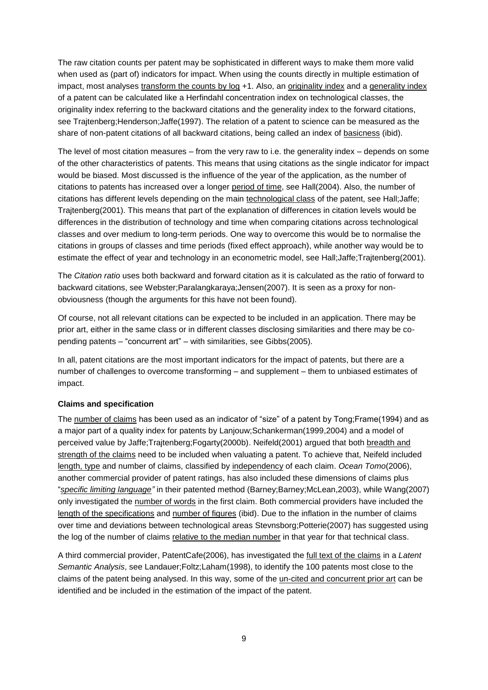The raw citation counts per patent may be sophisticated in different ways to make them more valid when used as (part of) indicators for impact. When using the counts directly in multiple estimation of impact, most analyses transform the counts by log +1. Also, an originality index and a generality index of a patent can be calculated like a Herfindahl concentration index on technological classes, the originality index referring to the backward citations and the generality index to the forward citations, see Trajtenberg;Henderson;Jaffe(1997). The relation of a patent to science can be measured as the share of non-patent citations of all backward citations, being called an index of basicness (ibid).

The level of most citation measures – from the very raw to i.e. the generality index – depends on some of the other characteristics of patents. This means that using citations as the single indicator for impact would be biased. Most discussed is the influence of the year of the application, as the number of citations to patents has increased over a longer period of time, see Hall(2004). Also, the number of citations has different levels depending on the main technological class of the patent, see Hall;Jaffe; Trajtenberg(2001). This means that part of the explanation of differences in citation levels would be differences in the distribution of technology and time when comparing citations across technological classes and over medium to long-term periods. One way to overcome this would be to normalise the citations in groups of classes and time periods (fixed effect approach), while another way would be to estimate the effect of year and technology in an econometric model, see Hall;Jaffe;Trajtenberg(2001).

The *Citation ratio* uses both backward and forward citation as it is calculated as the ratio of forward to backward citations, see Webster;Paralangkaraya;Jensen(2007). It is seen as a proxy for nonobviousness (though the arguments for this have not been found).

Of course, not all relevant citations can be expected to be included in an application. There may be prior art, either in the same class or in different classes disclosing similarities and there may be copending patents – "concurrent art" – with similarities, see Gibbs(2005).

In all, patent citations are the most important indicators for the impact of patents, but there are a number of challenges to overcome transforming – and supplement – them to unbiased estimates of impact.

### **Claims and specification**

The number of claims has been used as an indicator of "size" of a patent by Tong;Frame(1994) and as a major part of a quality index for patents by Lanjouw;Schankerman(1999,2004) and a model of perceived value by Jaffe;Trajtenberg;Fogarty(2000b). Neifeld(2001) argued that both breadth and strength of the claims need to be included when valuating a patent. To achieve that, Neifeld included length, type and number of claims, classified by independency of each claim. *Ocean Tomo*(2006), another commercial provider of patent ratings, has also included these dimensions of claims plus "*specific limiting language"* in their patented method (Barney;Barney;McLean,2003), while Wang(2007) only investigated the number of words in the first claim. Both commercial providers have included the length of the specifications and number of figures (ibid). Due to the inflation in the number of claims over time and deviations between technological areas Stevnsborg;Potterie(2007) has suggested using the log of the number of claims relative to the median number in that year for that technical class.

A third commercial provider, PatentCafe(2006), has investigated the full text of the claims in a *Latent Semantic Analysis*, see Landauer;Foltz;Laham(1998), to identify the 100 patents most close to the claims of the patent being analysed. In this way, some of the un-cited and concurrent prior art can be identified and be included in the estimation of the impact of the patent.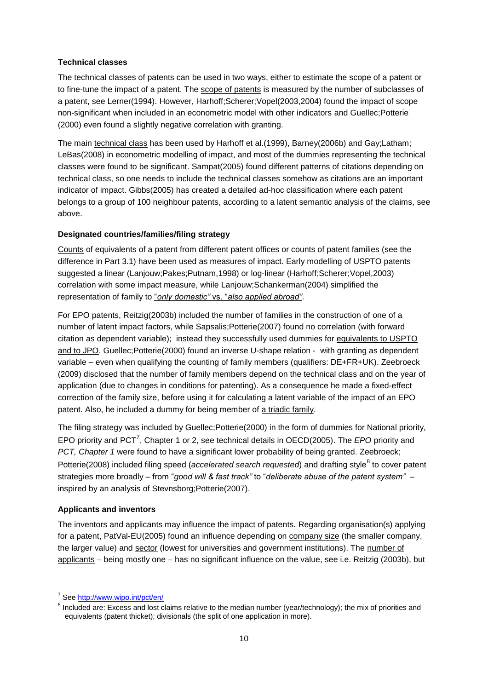### **Technical classes**

The technical classes of patents can be used in two ways, either to estimate the scope of a patent or to fine-tune the impact of a patent. The scope of patents is measured by the number of subclasses of a patent, see Lerner(1994). However, Harhoff;Scherer;Vopel(2003,2004) found the impact of scope non-significant when included in an econometric model with other indicators and Guellec;Potterie (2000) even found a slightly negative correlation with granting.

The main technical class has been used by Harhoff et al.(1999), Barney(2006b) and Gay;Latham; LeBas(2008) in econometric modelling of impact, and most of the dummies representing the technical classes were found to be significant. Sampat(2005) found different patterns of citations depending on technical class, so one needs to include the technical classes somehow as citations are an important indicator of impact. Gibbs(2005) has created a detailed ad-hoc classification where each patent belongs to a group of 100 neighbour patents, according to a latent semantic analysis of the claims, see above.

### **Designated countries/families/filing strategy**

Counts of equivalents of a patent from different patent offices or counts of patent families (see the difference in Part 3.1) have been used as measures of impact. Early modelling of USPTO patents suggested a linear (Lanjouw;Pakes;Putnam,1998) or log-linear (Harhoff;Scherer;Vopel,2003) correlation with some impact measure, while Lanjouw;Schankerman(2004) simplified the representation of family to "*only domestic"* vs. "*also applied abroad"*.

For EPO patents, Reitzig(2003b) included the number of families in the construction of one of a number of latent impact factors, while Sapsalis;Potterie(2007) found no correlation (with forward citation as dependent variable); instead they successfully used dummies for equivalents to USPTO and to JPO. Guellec;Potterie(2000) found an inverse U-shape relation - with granting as dependent variable – even when qualifying the counting of family members (qualifiers: DE+FR+UK). Zeebroeck (2009) disclosed that the number of family members depend on the technical class and on the year of application (due to changes in conditions for patenting). As a consequence he made a fixed-effect correction of the family size, before using it for calculating a latent variable of the impact of an EPO patent. Also, he included a dummy for being member of a triadic family.

The filing strategy was included by Guellec;Potterie(2000) in the form of dummies for National priority, EPO priority and PCT<sup>7</sup>, Chapter 1 or 2, see technical details in OECD(2005). The *EPO* priority and *PCT, Chapter 1* were found to have a significant lower probability of being granted. Zeebroeck; Potterie(2008) included filing speed (*accelerated search requested*) and drafting style<sup>8</sup> to cover patent strategies more broadly – from "*good will & fast track"* to "*deliberate abuse of the patent system"* – inspired by an analysis of Stevnsborg;Potterie(2007).

### **Applicants and inventors**

The inventors and applicants may influence the impact of patents. Regarding organisation(s) applying for a patent, PatVal-EU(2005) found an influence depending on company size (the smaller company, the larger value) and sector (lowest for universities and government institutions). The number of applicants – being mostly one – has no significant influence on the value, see i.e. Reitzig (2003b), but

<sup>–&</sup>lt;br><sup>7</sup> See <u>http://www.wipo.int/pct/en</u>/

 $^8$  Included are: Excess and lost claims relative to the median number (year/technology); the mix of priorities and equivalents (patent thicket); divisionals (the split of one application in more).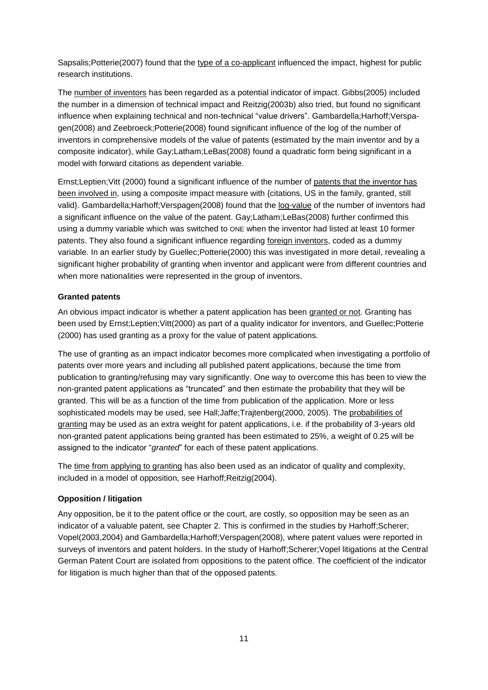Sapsalis;Potterie(2007) found that the type of a co-applicant influenced the impact, highest for public research institutions.

The number of inventors has been regarded as a potential indicator of impact. Gibbs(2005) included the number in a dimension of technical impact and Reitzig(2003b) also tried, but found no significant influence when explaining technical and non-technical "value drivers". Gambardella;Harhoff;Verspagen(2008) and Zeebroeck;Potterie(2008) found significant influence of the log of the number of inventors in comprehensive models of the value of patents (estimated by the main inventor and by a composite indicator), while Gay;Latham;LeBas(2008) found a quadratic form being significant in a model with forward citations as dependent variable.

Ernst;Leptien;Vitt (2000) found a significant influence of the number of patents that the inventor has been involved in, using a composite impact measure with {citations, US in the family, granted, still valid}. Gambardella;Harhoff;Verspagen(2008) found that the log-value of the number of inventors had a significant influence on the value of the patent. Gay;Latham;LeBas(2008) further confirmed this using a dummy variable which was switched to ONE when the inventor had listed at least 10 former patents. They also found a significant influence regarding foreign inventors, coded as a dummy variable. In an earlier study by Guellec;Potterie(2000) this was investigated in more detail, revealing a significant higher probability of granting when inventor and applicant were from different countries and when more nationalities were represented in the group of inventors.

### **Granted patents**

An obvious impact indicator is whether a patent application has been granted or not. Granting has been used by Ernst;Leptien;Vitt(2000) as part of a quality indicator for inventors, and Guellec;Potterie (2000) has used granting as a proxy for the value of patent applications.

The use of granting as an impact indicator becomes more complicated when investigating a portfolio of patents over more years and including all published patent applications, because the time from publication to granting/refusing may vary significantly. One way to overcome this has been to view the non-granted patent applications as "truncated" and then estimate the probability that they will be granted. This will be as a function of the time from publication of the application. More or less sophisticated models may be used, see Hall;Jaffe;Trajtenberg(2000, 2005). The probabilities of granting may be used as an extra weight for patent applications, i.e. if the probability of 3-years old non-granted patent applications being granted has been estimated to 25%, a weight of 0.25 will be assigned to the indicator "*granted*" for each of these patent applications.

The time from applying to granting has also been used as an indicator of quality and complexity, included in a model of opposition, see Harhoff;Reitzig(2004).

### **Opposition / litigation**

Any opposition, be it to the patent office or the court, are costly, so opposition may be seen as an indicator of a valuable patent, see Chapter 2. This is confirmed in the studies by Harhoff;Scherer; Vopel(2003,2004) and Gambardella;Harhoff;Verspagen(2008), where patent values were reported in surveys of inventors and patent holders. In the study of Harhoff;Scherer;Vopel litigations at the Central German Patent Court are isolated from oppositions to the patent office. The coefficient of the indicator for litigation is much higher than that of the opposed patents.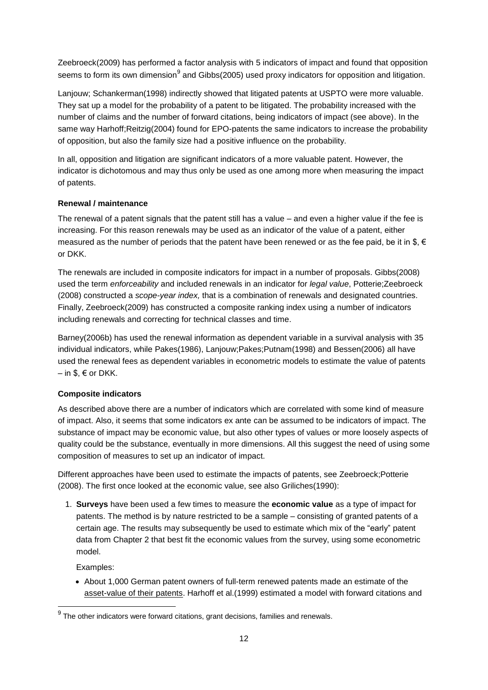Zeebroeck(2009) has performed a factor analysis with 5 indicators of impact and found that opposition seems to form its own dimension<sup>9</sup> and Gibbs(2005) used proxy indicators for opposition and litigation.

Lanjouw; Schankerman(1998) indirectly showed that litigated patents at USPTO were more valuable. They sat up a model for the probability of a patent to be litigated. The probability increased with the number of claims and the number of forward citations, being indicators of impact (see above). In the same way Harhoff;Reitzig(2004) found for EPO-patents the same indicators to increase the probability of opposition, but also the family size had a positive influence on the probability.

In all, opposition and litigation are significant indicators of a more valuable patent. However, the indicator is dichotomous and may thus only be used as one among more when measuring the impact of patents.

### **Renewal / maintenance**

The renewal of a patent signals that the patent still has a value – and even a higher value if the fee is increasing. For this reason renewals may be used as an indicator of the value of a patent, either measured as the number of periods that the patent have been renewed or as the fee paid, be it in  $\$, \in$ or DKK.

The renewals are included in composite indicators for impact in a number of proposals. Gibbs(2008) used the term *enforceability* and included renewals in an indicator for *legal value*, Potterie;Zeebroeck (2008) constructed a *scope-year index,* that is a combination of renewals and designated countries. Finally, Zeebroeck(2009) has constructed a composite ranking index using a number of indicators including renewals and correcting for technical classes and time.

Barney(2006b) has used the renewal information as dependent variable in a survival analysis with 35 individual indicators, while Pakes(1986), Lanjouw;Pakes;Putnam(1998) and Bessen(2006) all have used the renewal fees as dependent variables in econometric models to estimate the value of patents  $-$  in \$,  $\in$  or DKK.

### **Composite indicators**

As described above there are a number of indicators which are correlated with some kind of measure of impact. Also, it seems that some indicators ex ante can be assumed to be indicators of impact. The substance of impact may be economic value, but also other types of values or more loosely aspects of quality could be the substance, eventually in more dimensions. All this suggest the need of using some composition of measures to set up an indicator of impact.

Different approaches have been used to estimate the impacts of patents, see Zeebroeck;Potterie (2008). The first once looked at the economic value, see also Griliches(1990):

1. **Surveys** have been used a few times to measure the **economic value** as a type of impact for patents. The method is by nature restricted to be a sample – consisting of granted patents of a certain age. The results may subsequently be used to estimate which mix of the "early" patent data from Chapter 2 that best fit the economic values from the survey, using some econometric model.

Examples:

 $\overline{\phantom{a}}$ 

 About 1,000 German patent owners of full-term renewed patents made an estimate of the asset-value of their patents. Harhoff et al.(1999) estimated a model with forward citations and

 $^9$  The other indicators were forward citations, grant decisions, families and renewals.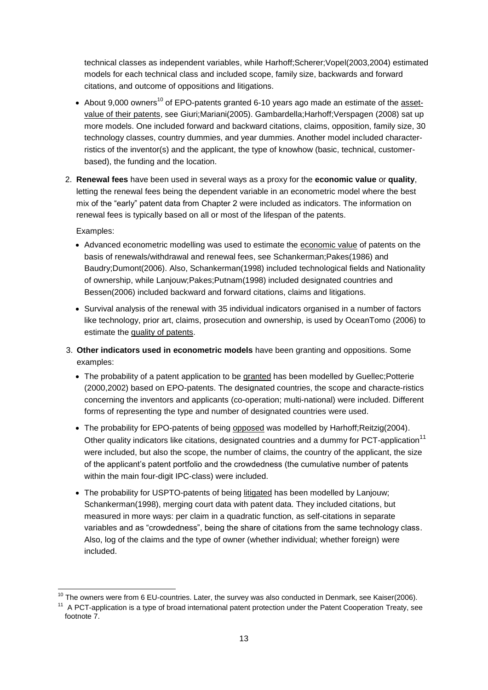technical classes as independent variables, while Harhoff;Scherer;Vopel(2003,2004) estimated models for each technical class and included scope, family size, backwards and forward citations, and outcome of oppositions and litigations.

- About 9,000 owners<sup>10</sup> of EPO-patents granted 6-10 years ago made an estimate of the assetvalue of their patents, see Giuri;Mariani(2005). Gambardella;Harhoff;Verspagen (2008) sat up more models. One included forward and backward citations, claims, opposition, family size, 30 technology classes, country dummies, and year dummies. Another model included characterristics of the inventor(s) and the applicant, the type of knowhow (basic, technical, customerbased), the funding and the location.
- 2. **Renewal fees** have been used in several ways as a proxy for the **economic value** or **quality**, letting the renewal fees being the dependent variable in an econometric model where the best mix of the "early" patent data from Chapter 2 were included as indicators. The information on renewal fees is typically based on all or most of the lifespan of the patents.

Examples:

l

- Advanced econometric modelling was used to estimate the economic value of patents on the basis of renewals/withdrawal and renewal fees, see Schankerman;Pakes(1986) and Baudry;Dumont(2006). Also, Schankerman(1998) included technological fields and Nationality of ownership, while Lanjouw;Pakes;Putnam(1998) included designated countries and Bessen(2006) included backward and forward citations, claims and litigations.
- Survival analysis of the renewal with 35 individual indicators organised in a number of factors like technology, prior art, claims, prosecution and ownership, is used by OceanTomo (2006) to estimate the quality of patents.
- 3. **Other indicators used in econometric models** have been granting and oppositions. Some examples:
	- The probability of a patent application to be granted has been modelled by Guellec; Potterie (2000,2002) based on EPO-patents. The designated countries, the scope and characte-ristics concerning the inventors and applicants (co-operation; multi-national) were included. Different forms of representing the type and number of designated countries were used.
	- The probability for EPO-patents of being opposed was modelled by Harhoff;Reitzig(2004). Other quality indicators like citations, designated countries and a dummy for PCT-application<sup>11</sup> were included, but also the scope, the number of claims, the country of the applicant, the size of the applicant's patent portfolio and the crowdedness (the cumulative number of patents within the main four-digit IPC-class) were included.
	- The probability for USPTO-patents of being litigated has been modelled by Lanjouw; Schankerman(1998), merging court data with patent data. They included citations, but measured in more ways: per claim in a quadratic function, as self-citations in separate variables and as "crowdedness", being the share of citations from the same technology class. Also, log of the claims and the type of owner (whether individual; whether foreign) were included.

 $^{10}$  The owners were from 6 EU-countries. Later, the survey was also conducted in Denmark, see Kaiser(2006).

<sup>&</sup>lt;sup>11</sup> A PCT-application is a type of broad international patent protection under the Patent Cooperation Treaty, see footnote 7.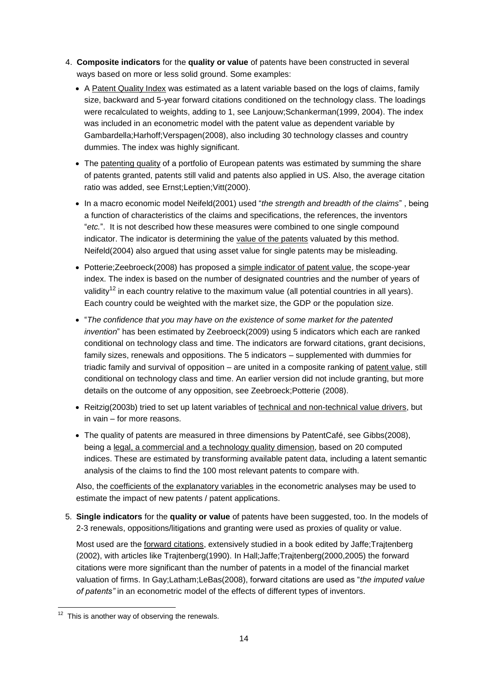- 4. **Composite indicators** for the **quality or value** of patents have been constructed in several ways based on more or less solid ground. Some examples:
	- A Patent Quality Index was estimated as a latent variable based on the logs of claims, family size, backward and 5-year forward citations conditioned on the technology class. The loadings were recalculated to weights, adding to 1, see Lanjouw;Schankerman(1999, 2004). The index was included in an econometric model with the patent value as dependent variable by Gambardella;Harhoff;Verspagen(2008), also including 30 technology classes and country dummies. The index was highly significant.
	- The patenting quality of a portfolio of European patents was estimated by summing the share of patents granted, patents still valid and patents also applied in US. Also, the average citation ratio was added, see Ernst;Leptien;Vitt(2000).
	- In a macro economic model Neifeld(2001) used "*the strength and breadth of the claims*" , being a function of characteristics of the claims and specifications, the references, the inventors "*etc.*". It is not described how these measures were combined to one single compound indicator. The indicator is determining the value of the patents valuated by this method. Neifeld(2004) also argued that using asset value for single patents may be misleading.
	- Potterie;Zeebroeck(2008) has proposed a simple indicator of patent value, the scope-year index. The index is based on the number of designated countries and the number of years of validitv<sup>12</sup> in each country relative to the maximum value (all potential countries in all years). Each country could be weighted with the market size, the GDP or the population size.
	- "*The confidence that you may have on the existence of some market for the patented invention*" has been estimated by Zeebroeck(2009) using 5 indicators which each are ranked conditional on technology class and time. The indicators are forward citations, grant decisions, family sizes, renewals and oppositions. The 5 indicators – supplemented with dummies for triadic family and survival of opposition – are united in a composite ranking of patent value, still conditional on technology class and time. An earlier version did not include granting, but more details on the outcome of any opposition, see Zeebroeck;Potterie (2008).
	- Reitzig(2003b) tried to set up latent variables of technical and non-technical value drivers, but in vain – for more reasons.
	- The quality of patents are measured in three dimensions by PatentCafé, see Gibbs(2008), being a legal, a commercial and a technology quality dimension, based on 20 computed indices. These are estimated by transforming available patent data, including a latent semantic analysis of the claims to find the 100 most relevant patents to compare with.

Also, the coefficients of the explanatory variables in the econometric analyses may be used to estimate the impact of new patents / patent applications.

5. **Single indicators** for the **quality or value** of patents have been suggested, too. In the models of 2-3 renewals, oppositions/litigations and granting were used as proxies of quality or value.

Most used are the forward citations, extensively studied in a book edited by Jaffe;Trajtenberg (2002), with articles like Trajtenberg(1990). In Hall;Jaffe;Trajtenberg(2000,2005) the forward citations were more significant than the number of patents in a model of the financial market valuation of firms. In Gay;Latham;LeBas(2008), forward citations are used as "*the imputed value of patents"* in an econometric model of the effects of different types of inventors.

This is another way of observing the renewals.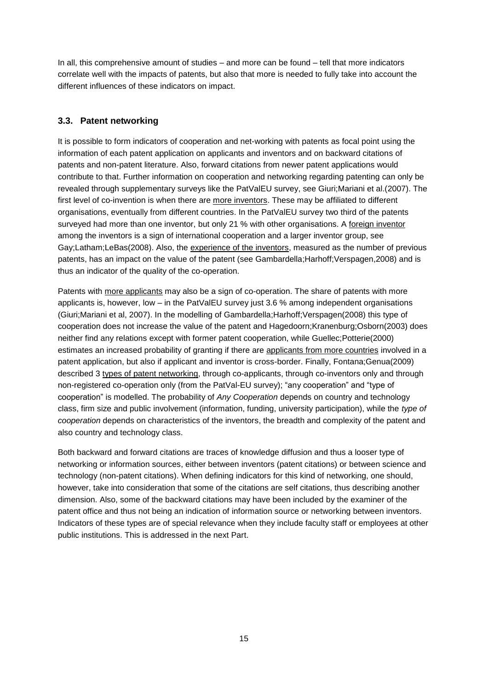In all, this comprehensive amount of studies – and more can be found – tell that more indicators correlate well with the impacts of patents, but also that more is needed to fully take into account the different influences of these indicators on impact.

### **3.3. Patent networking**

It is possible to form indicators of cooperation and net-working with patents as focal point using the information of each patent application on applicants and inventors and on backward citations of patents and non-patent literature. Also, forward citations from newer patent applications would contribute to that. Further information on cooperation and networking regarding patenting can only be revealed through supplementary surveys like the PatValEU survey, see Giuri;Mariani et al.(2007). The first level of co-invention is when there are more inventors. These may be affiliated to different organisations, eventually from different countries. In the PatValEU survey two third of the patents surveyed had more than one inventor, but only 21 % with other organisations. A foreign inventor among the inventors is a sign of international cooperation and a larger inventor group, see Gay;Latham;LeBas(2008). Also, the experience of the inventors, measured as the number of previous patents, has an impact on the value of the patent (see Gambardella;Harhoff;Verspagen,2008) and is thus an indicator of the quality of the co-operation.

Patents with more applicants may also be a sign of co-operation. The share of patents with more applicants is, however, low – in the PatValEU survey just 3.6 % among independent organisations (Giuri;Mariani et al, 2007). In the modelling of Gambardella;Harhoff;Verspagen(2008) this type of cooperation does not increase the value of the patent and Hagedoorn;Kranenburg;Osborn(2003) does neither find any relations except with former patent cooperation, while Guellec;Potterie(2000) estimates an increased probability of granting if there are applicants from more countries involved in a patent application, but also if applicant and inventor is cross-border. Finally, Fontana;Genua(2009) described 3 types of patent networking, through co-applicants, through co-inventors only and through non-registered co-operation only (from the PatVal-EU survey); "any cooperation" and "type of cooperation" is modelled. The probability of *Any Cooperation* depends on country and technology class, firm size and public involvement (information, funding, university participation), while the *type of cooperation* depends on characteristics of the inventors, the breadth and complexity of the patent and also country and technology class.

Both backward and forward citations are traces of knowledge diffusion and thus a looser type of networking or information sources, either between inventors (patent citations) or between science and technology (non-patent citations). When defining indicators for this kind of networking, one should, however, take into consideration that some of the citations are self citations, thus describing another dimension. Also, some of the backward citations may have been included by the examiner of the patent office and thus not being an indication of information source or networking between inventors. Indicators of these types are of special relevance when they include faculty staff or employees at other public institutions. This is addressed in the next Part.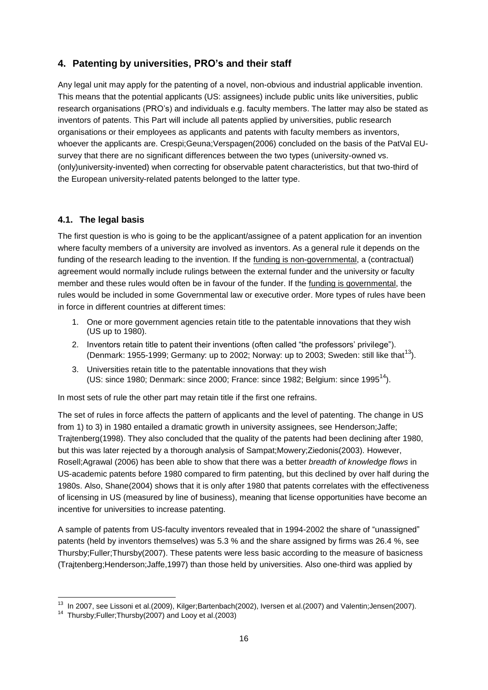### **4. Patenting by universities, PRO's and their staff**

Any legal unit may apply for the patenting of a novel, non-obvious and industrial applicable invention. This means that the potential applicants (US: assignees) include public units like universities, public research organisations (PRO's) and individuals e.g. faculty members. The latter may also be stated as inventors of patents. This Part will include all patents applied by universities, public research organisations or their employees as applicants and patents with faculty members as inventors, whoever the applicants are. Crespi;Geuna;Verspagen(2006) concluded on the basis of the PatVal EUsurvey that there are no significant differences between the two types (university-owned vs. (only)university-invented) when correcting for observable patent characteristics, but that two-third of the European university-related patents belonged to the latter type.

### **4.1. The legal basis**

The first question is who is going to be the applicant/assignee of a patent application for an invention where faculty members of a university are involved as inventors. As a general rule it depends on the funding of the research leading to the invention. If the funding is non-governmental, a (contractual) agreement would normally include rulings between the external funder and the university or faculty member and these rules would often be in favour of the funder. If the funding is governmental, the rules would be included in some Governmental law or executive order. More types of rules have been in force in different countries at different times:

- 1. One or more government agencies retain title to the patentable innovations that they wish (US up to 1980).
- 2. Inventors retain title to patent their inventions (often called "the professors' privilege"). (Denmark: 1955-1999; Germany: up to 2002; Norway: up to 2003; Sweden: still like that<sup>13</sup>).
- 3. Universities retain title to the patentable innovations that they wish (US: since 1980; Denmark: since 2000; France: since 1982; Belgium: since 1995<sup>14</sup>).

In most sets of rule the other part may retain title if the first one refrains.

The set of rules in force affects the pattern of applicants and the level of patenting. The change in US from 1) to 3) in 1980 entailed a dramatic growth in university assignees, see Henderson; Jaffe; Trajtenberg(1998). They also concluded that the quality of the patents had been declining after 1980, but this was later rejected by a thorough analysis of Sampat;Mowery;Ziedonis(2003). However, Rosell;Agrawal (2006) has been able to show that there was a better *breadth of knowledge flows* in US-academic patents before 1980 compared to firm patenting, but this declined by over half during the 1980s. Also, Shane(2004) shows that it is only after 1980 that patents correlates with the effectiveness of licensing in US (measured by line of business), meaning that license opportunities have become an incentive for universities to increase patenting.

A sample of patents from US-faculty inventors revealed that in 1994-2002 the share of "unassigned" patents (held by inventors themselves) was 5.3 % and the share assigned by firms was 26.4 %, see Thursby;Fuller;Thursby(2007). These patents were less basic according to the measure of basicness (Trajtenberg;Henderson;Jaffe,1997) than those held by universities. Also one-third was applied by

l

<sup>&</sup>lt;sup>13</sup> In 2007, see Lissoni et al.(2009), Kilger;Bartenbach(2002), Iversen et al.(2007) and Valentin;Jensen(2007).

<sup>14</sup> Thursby;Fuller;Thursby(2007) and Looy et al.(2003)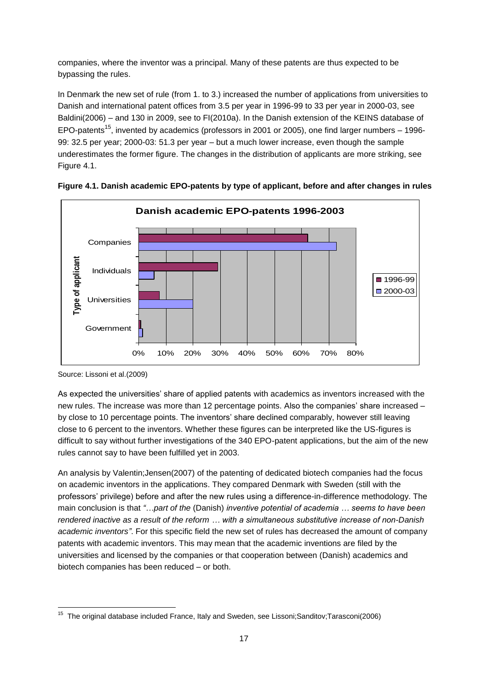companies, where the inventor was a principal. Many of these patents are thus expected to be bypassing the rules.

In Denmark the new set of rule (from 1. to 3.) increased the number of applications from universities to Danish and international patent offices from 3.5 per year in 1996-99 to 33 per year in 2000-03, see Baldini(2006) – and 130 in 2009, see to FI(2010a). In the Danish extension of the KEINS database of EPO-patents<sup>15</sup>, invented by academics (professors in 2001 or 2005), one find larger numbers – 1996-99: 32.5 per year; 2000-03: 51.3 per year – but a much lower increase, even though the sample underestimates the former figure. The changes in the distribution of applicants are more striking, see Figure 4.1.





As expected the universities' share of applied patents with academics as inventors increased with the new rules. The increase was more than 12 percentage points. Also the companies' share increased – by close to 10 percentage points. The inventors' share declined comparably, however still leaving close to 6 percent to the inventors. Whether these figures can be interpreted like the US-figures is difficult to say without further investigations of the 340 EPO-patent applications, but the aim of the new rules cannot say to have been fulfilled yet in 2003.

An analysis by Valentin;Jensen(2007) of the patenting of dedicated biotech companies had the focus on academic inventors in the applications. They compared Denmark with Sweden (still with the professors' privilege) before and after the new rules using a difference-in-difference methodology. The main conclusion is that *"…part of the* (Danish) *inventive potential of academia … seems to have been rendered inactive as a result of the reform … with a simultaneous substitutive increase of non-Danish academic inventors"*. For this specific field the new set of rules has decreased the amount of company patents with academic inventors. This may mean that the academic inventions are filed by the universities and licensed by the companies or that cooperation between (Danish) academics and biotech companies has been reduced – or both.

Source: Lissoni et al.(2009)

 15 The original database included France, Italy and Sweden, see Lissoni;Sanditov;Tarasconi(2006)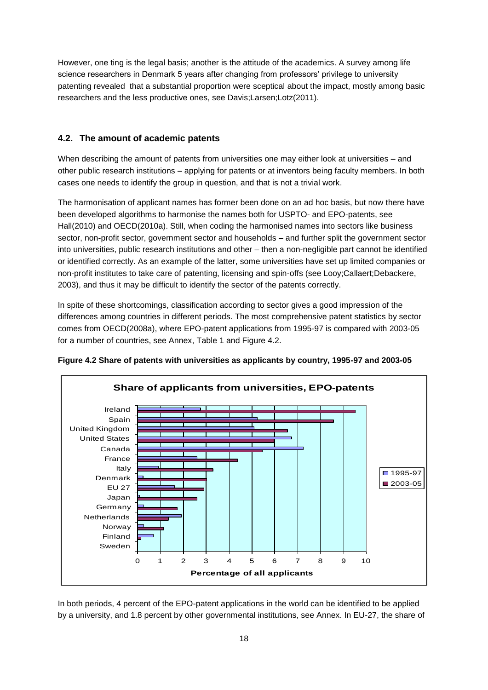However, one ting is the legal basis; another is the attitude of the academics. A survey among life science researchers in Denmark 5 years after changing from professors' privilege to university patenting revealed that a substantial proportion were sceptical about the impact, mostly among basic researchers and the less productive ones, see Davis;Larsen;Lotz(2011).

### **4.2. The amount of academic patents**

When describing the amount of patents from universities one may either look at universities – and other public research institutions – applying for patents or at inventors being faculty members. In both cases one needs to identify the group in question, and that is not a trivial work.

The harmonisation of applicant names has former been done on an ad hoc basis, but now there have been developed algorithms to harmonise the names both for USPTO- and EPO-patents, see Hall(2010) and OECD(2010a). Still, when coding the harmonised names into sectors like business sector, non-profit sector, government sector and households – and further split the government sector into universities, public research institutions and other – then a non-negligible part cannot be identified or identified correctly. As an example of the latter, some universities have set up limited companies or non-profit institutes to take care of patenting, licensing and spin-offs (see Looy;Callaert;Debackere, 2003), and thus it may be difficult to identify the sector of the patents correctly.

In spite of these shortcomings, classification according to sector gives a good impression of the differences among countries in different periods. The most comprehensive patent statistics by sector comes from OECD(2008a), where EPO-patent applications from 1995-97 is compared with 2003-05 for a number of countries, see Annex, Table 1 and Figure 4.2.



**Figure 4.2 Share of patents with universities as applicants by country, 1995-97 and 2003-05**

In both periods, 4 percent of the EPO-patent applications in the world can be identified to be applied by a university, and 1.8 percent by other governmental institutions, see Annex. In EU-27, the share of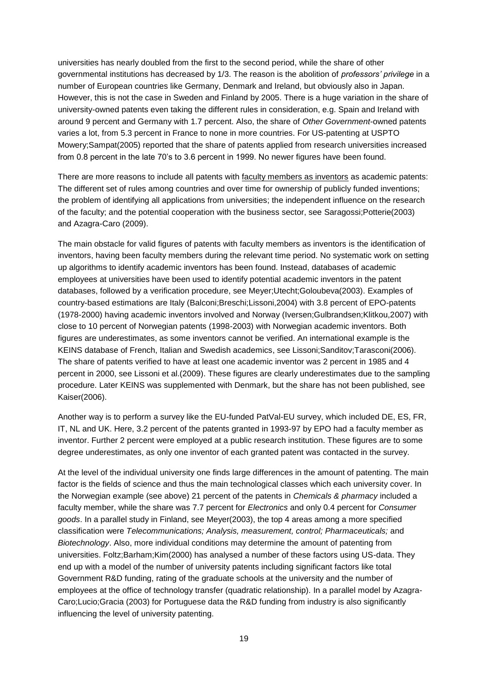universities has nearly doubled from the first to the second period, while the share of other governmental institutions has decreased by 1/3. The reason is the abolition of *professors' privilege* in a number of European countries like Germany, Denmark and Ireland, but obviously also in Japan. However, this is not the case in Sweden and Finland by 2005. There is a huge variation in the share of university-owned patents even taking the different rules in consideration, e.g. Spain and Ireland with around 9 percent and Germany with 1.7 percent. Also, the share of *Other Government*-owned patents varies a lot, from 5.3 percent in France to none in more countries. For US-patenting at USPTO Mowery;Sampat(2005) reported that the share of patents applied from research universities increased from 0.8 percent in the late 70's to 3.6 percent in 1999. No newer figures have been found.

There are more reasons to include all patents with faculty members as inventors as academic patents: The different set of rules among countries and over time for ownership of publicly funded inventions; the problem of identifying all applications from universities; the independent influence on the research of the faculty; and the potential cooperation with the business sector, see Saragossi;Potterie(2003) and Azagra-Caro (2009).

The main obstacle for valid figures of patents with faculty members as inventors is the identification of inventors, having been faculty members during the relevant time period. No systematic work on setting up algorithms to identify academic inventors has been found. Instead, databases of academic employees at universities have been used to identify potential academic inventors in the patent databases, followed by a verification procedure, see Meyer;Utecht;Goloubeva(2003). Examples of country-based estimations are Italy (Balconi;Breschi;Lissoni,2004) with 3.8 percent of EPO-patents (1978-2000) having academic inventors involved and Norway (Iversen;Gulbrandsen;Klitkou,2007) with close to 10 percent of Norwegian patents (1998-2003) with Norwegian academic inventors. Both figures are underestimates, as some inventors cannot be verified. An international example is the KEINS database of French, Italian and Swedish academics, see Lissoni;Sanditov;Tarasconi(2006). The share of patents verified to have at least one academic inventor was 2 percent in 1985 and 4 percent in 2000, see Lissoni et al.(2009). These figures are clearly underestimates due to the sampling procedure. Later KEINS was supplemented with Denmark, but the share has not been published, see Kaiser(2006).

Another way is to perform a survey like the EU-funded PatVal-EU survey, which included DE, ES, FR, IT, NL and UK. Here, 3.2 percent of the patents granted in 1993-97 by EPO had a faculty member as inventor. Further 2 percent were employed at a public research institution. These figures are to some degree underestimates, as only one inventor of each granted patent was contacted in the survey.

At the level of the individual university one finds large differences in the amount of patenting. The main factor is the fields of science and thus the main technological classes which each university cover. In the Norwegian example (see above) 21 percent of the patents in *Chemicals & pharmacy* included a faculty member, while the share was 7.7 percent for *Electronics* and only 0.4 percent for *Consumer goods*. In a parallel study in Finland, see Meyer(2003), the top 4 areas among a more specified classification were *Telecommunications; Analysis, measurement, control; Pharmaceuticals;* and *Biotechnology*. Also, more individual conditions may determine the amount of patenting from universities. Foltz;Barham;Kim(2000) has analysed a number of these factors using US-data. They end up with a model of the number of university patents including significant factors like total Government R&D funding, rating of the graduate schools at the university and the number of employees at the office of technology transfer (quadratic relationship). In a parallel model by Azagra-Caro;Lucio;Gracia (2003) for Portuguese data the R&D funding from industry is also significantly influencing the level of university patenting.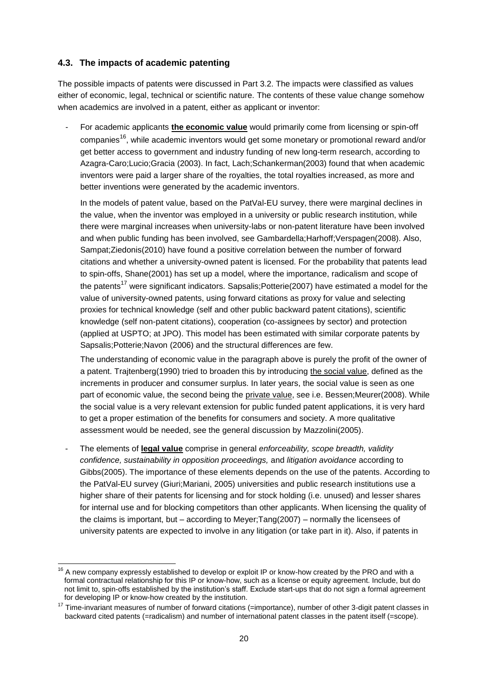### **4.3. The impacts of academic patenting**

 $\overline{a}$ 

The possible impacts of patents were discussed in Part 3.2. The impacts were classified as values either of economic, legal, technical or scientific nature. The contents of these value change somehow when academics are involved in a patent, either as applicant or inventor:

- For academic applicants **the economic value** would primarily come from licensing or spin-off companies<sup>16</sup>, while academic inventors would get some monetary or promotional reward and/or get better access to government and industry funding of new long-term research, according to Azagra-Caro;Lucio;Gracia (2003). In fact, Lach;Schankerman(2003) found that when academic inventors were paid a larger share of the royalties, the total royalties increased, as more and better inventions were generated by the academic inventors.

In the models of patent value, based on the PatVal-EU survey, there were marginal declines in the value, when the inventor was employed in a university or public research institution, while there were marginal increases when university-labs or non-patent literature have been involved and when public funding has been involved, see Gambardella;Harhoff;Verspagen(2008). Also, Sampat;Ziedonis(2010) have found a positive correlation between the number of forward citations and whether a university-owned patent is licensed. For the probability that patents lead to spin-offs, Shane(2001) has set up a model, where the importance, radicalism and scope of the patents<sup>17</sup> were significant indicators. Sapsalis: Potterie(2007) have estimated a model for the value of university-owned patents, using forward citations as proxy for value and selecting proxies for technical knowledge (self and other public backward patent citations), scientific knowledge (self non-patent citations), cooperation (co-assignees by sector) and protection (applied at USPTO; at JPO). This model has been estimated with similar corporate patents by Sapsalis;Potterie;Navon (2006) and the structural differences are few.

The understanding of economic value in the paragraph above is purely the profit of the owner of a patent. Trajtenberg(1990) tried to broaden this by introducing the social value, defined as the increments in producer and consumer surplus. In later years, the social value is seen as one part of economic value, the second being the private value, see i.e. Bessen;Meurer(2008). While the social value is a very relevant extension for public funded patent applications, it is very hard to get a proper estimation of the benefits for consumers and society. A more qualitative assessment would be needed, see the general discussion by Mazzolini(2005).

- The elements of **legal value** comprise in general *enforceability, scope breadth, validity confidence, sustainability in opposition proceedings,* and *litigation avoidance* according to Gibbs(2005). The importance of these elements depends on the use of the patents. According to the PatVal-EU survey (Giuri;Mariani, 2005) universities and public research institutions use a higher share of their patents for licensing and for stock holding (i.e. unused) and lesser shares for internal use and for blocking competitors than other applicants. When licensing the quality of the claims is important, but – according to Meyer;Tang(2007) – normally the licensees of university patents are expected to involve in any litigation (or take part in it). Also, if patents in

<sup>16</sup> A new company expressly established to develop or exploit IP or know-how created by the PRO and with a formal contractual relationship for this IP or know-how, such as a license or equity agreement. Include, but do not limit to, spin-offs established by the institution's staff. Exclude start-ups that do not sign a formal agreement for developing IP or know-how created by the institution.

 $17$  Time-invariant measures of number of forward citations (=importance), number of other 3-digit patent classes in backward cited patents (=radicalism) and number of international patent classes in the patent itself (=scope).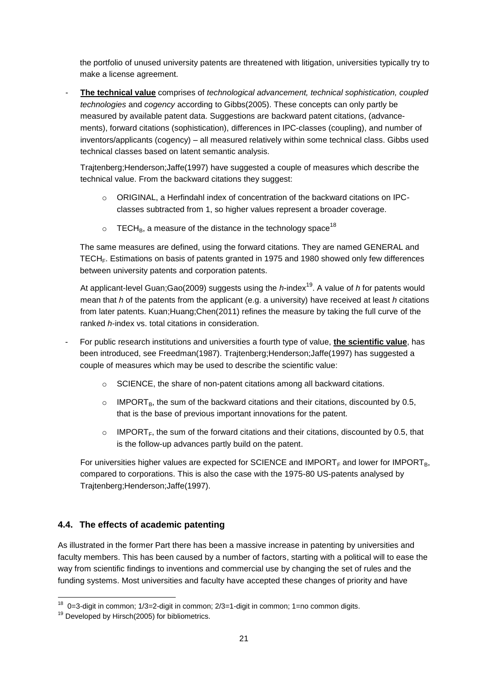the portfolio of unused university patents are threatened with litigation, universities typically try to make a license agreement.

The technical value comprises of *technological advancement, technical sophistication, coupled technologies* and *cogency* according to Gibbs(2005). These concepts can only partly be measured by available patent data. Suggestions are backward patent citations, (advancements), forward citations (sophistication), differences in IPC-classes (coupling), and number of inventors/applicants (cogency) – all measured relatively within some technical class. Gibbs used technical classes based on latent semantic analysis.

Trajtenberg;Henderson;Jaffe(1997) have suggested a couple of measures which describe the technical value. From the backward citations they suggest:

- $\circ$  ORIGINAL, a Herfindahl index of concentration of the backward citations on IPCclasses subtracted from 1, so higher values represent a broader coverage.
- $\circ$  TECH<sub>B</sub>, a measure of the distance in the technology space<sup>18</sup>

The same measures are defined, using the forward citations. They are named GENERAL and TECH<sub>F</sub>. Estimations on basis of patents granted in 1975 and 1980 showed only few differences between university patents and corporation patents.

At applicant-level Guan;Gao(2009) suggests using the *h*-index<sup>19</sup>. A value of *h* for patents would mean that *h* of the patents from the applicant (e.g. a university) have received at least *h* citations from later patents. Kuan;Huang;Chen(2011) refines the measure by taking the full curve of the ranked *h*-index vs. total citations in consideration.

- For public research institutions and universities a fourth type of value, **the scientific value**, has been introduced, see Freedman(1987). Trajtenberg;Henderson;Jaffe(1997) has suggested a couple of measures which may be used to describe the scientific value:
	- $\circ$  SCIENCE, the share of non-patent citations among all backward citations.
	- $\circ$  IMPORT<sub>B</sub>, the sum of the backward citations and their citations, discounted by 0.5, that is the base of previous important innovations for the patent.
	- $\circ$  IMPORT<sub>F</sub>, the sum of the forward citations and their citations, discounted by 0.5, that is the follow-up advances partly build on the patent.

For universities higher values are expected for SCIENCE and IMPORT<sub>F</sub> and lower for IMPORT<sub>R</sub>, compared to corporations. This is also the case with the 1975-80 US-patents analysed by Trajtenberg;Henderson;Jaffe(1997).

### **4.4. The effects of academic patenting**

As illustrated in the former Part there has been a massive increase in patenting by universities and faculty members. This has been caused by a number of factors, starting with a political will to ease the way from scientific findings to inventions and commercial use by changing the set of rules and the funding systems. Most universities and faculty have accepted these changes of priority and have

 18 0=3-digit in common; 1/3=2-digit in common; 2/3=1-digit in common; 1=no common digits.

<sup>&</sup>lt;sup>19</sup> Developed by Hirsch(2005) for bibliometrics.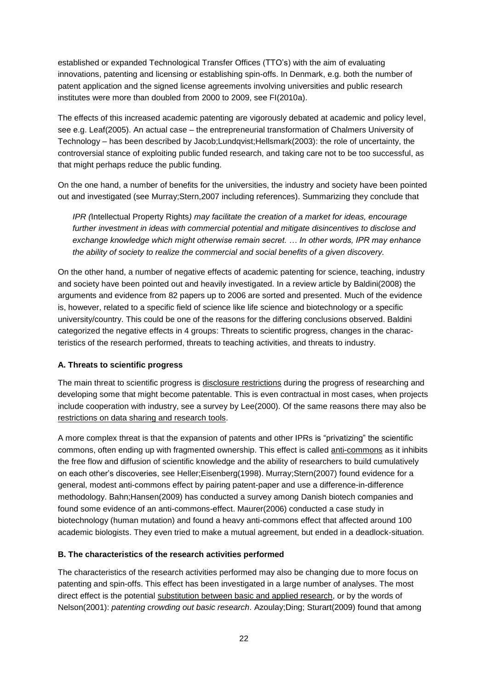established or expanded Technological Transfer Offices (TTO's) with the aim of evaluating innovations, patenting and licensing or establishing spin-offs. In Denmark, e.g. both the number of patent application and the signed license agreements involving universities and public research institutes were more than doubled from 2000 to 2009, see FI(2010a).

The effects of this increased academic patenting are vigorously debated at academic and policy level, see e.g. Leaf(2005). An actual case – the entrepreneurial transformation of Chalmers University of Technology – has been described by Jacob;Lundqvist;Hellsmark(2003): the role of uncertainty, the controversial stance of exploiting public funded research, and taking care not to be too successful, as that might perhaps reduce the public funding.

On the one hand, a number of benefits for the universities, the industry and society have been pointed out and investigated (see Murray;Stern,2007 including references). Summarizing they conclude that

*IPR (*Intellectual Property Rights*) may facilitate the creation of a market for ideas, encourage further investment in ideas with commercial potential and mitigate disincentives to disclose and exchange knowledge which might otherwise remain secret. … In other words, IPR may enhance the ability of society to realize the commercial and social benefits of a given discovery.*

On the other hand, a number of negative effects of academic patenting for science, teaching, industry and society have been pointed out and heavily investigated. In a review article by Baldini(2008) the arguments and evidence from 82 papers up to 2006 are sorted and presented. Much of the evidence is, however, related to a specific field of science like life science and biotechnology or a specific university/country. This could be one of the reasons for the differing conclusions observed. Baldini categorized the negative effects in 4 groups: Threats to scientific progress, changes in the characteristics of the research performed, threats to teaching activities, and threats to industry.

### **A. Threats to scientific progress**

The main threat to scientific progress is disclosure restrictions during the progress of researching and developing some that might become patentable. This is even contractual in most cases, when projects include cooperation with industry, see a survey by Lee(2000). Of the same reasons there may also be restrictions on data sharing and research tools.

A more complex threat is that the expansion of patents and other IPRs is "privatizing" the scientific commons, often ending up with fragmented ownership. This effect is called anti-commons as it inhibits the free flow and diffusion of scientific knowledge and the ability of researchers to build cumulatively on each other's discoveries, see Heller;Eisenberg(1998). Murray;Stern(2007) found evidence for a general, modest anti-commons effect by pairing patent-paper and use a difference-in-difference methodology. Bahn;Hansen(2009) has conducted a survey among Danish biotech companies and found some evidence of an anti-commons-effect. Maurer(2006) conducted a case study in biotechnology (human mutation) and found a heavy anti-commons effect that affected around 100 academic biologists. They even tried to make a mutual agreement, but ended in a deadlock-situation.

### **B. The characteristics of the research activities performed**

The characteristics of the research activities performed may also be changing due to more focus on patenting and spin-offs. This effect has been investigated in a large number of analyses. The most direct effect is the potential substitution between basic and applied research, or by the words of Nelson(2001): *patenting crowding out basic research*. Azoulay;Ding; Sturart(2009) found that among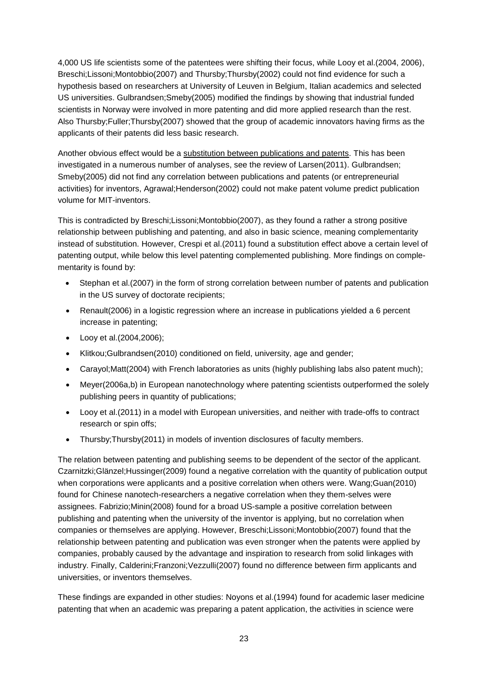4,000 US life scientists some of the patentees were shifting their focus, while Looy et al.(2004, 2006), Breschi;Lissoni;Montobbio(2007) and Thursby;Thursby(2002) could not find evidence for such a hypothesis based on researchers at University of Leuven in Belgium, Italian academics and selected US universities. Gulbrandsen;Smeby(2005) modified the findings by showing that industrial funded scientists in Norway were involved in more patenting and did more applied research than the rest. Also Thursby;Fuller;Thursby(2007) showed that the group of academic innovators having firms as the applicants of their patents did less basic research.

Another obvious effect would be a substitution between publications and patents. This has been investigated in a numerous number of analyses, see the review of Larsen(2011). Gulbrandsen; Smeby(2005) did not find any correlation between publications and patents (or entrepreneurial activities) for inventors, Agrawal;Henderson(2002) could not make patent volume predict publication volume for MIT-inventors.

This is contradicted by Breschi;Lissoni;Montobbio(2007), as they found a rather a strong positive relationship between publishing and patenting, and also in basic science, meaning complementarity instead of substitution. However, Crespi et al.(2011) found a substitution effect above a certain level of patenting output, while below this level patenting complemented publishing. More findings on complementarity is found by:

- Stephan et al.(2007) in the form of strong correlation between number of patents and publication in the US survey of doctorate recipients;
- Renault(2006) in a logistic regression where an increase in publications yielded a 6 percent increase in patenting;
- Looy et al.(2004,2006);
- Klitkou;Gulbrandsen(2010) conditioned on field, university, age and gender;
- Carayol;Matt(2004) with French laboratories as units (highly publishing labs also patent much);
- Meyer(2006a,b) in European nanotechnology where patenting scientists outperformed the solely publishing peers in quantity of publications;
- Looy et al.(2011) in a model with European universities, and neither with trade-offs to contract research or spin offs;
- Thursby;Thursby(2011) in models of invention disclosures of faculty members.

The relation between patenting and publishing seems to be dependent of the sector of the applicant. Czarnitzki;Glänzel;Hussinger(2009) found a negative correlation with the quantity of publication output when corporations were applicants and a positive correlation when others were. Wang;Guan(2010) found for Chinese nanotech-researchers a negative correlation when they them-selves were assignees. Fabrizio;Minin(2008) found for a broad US-sample a positive correlation between publishing and patenting when the university of the inventor is applying, but no correlation when companies or themselves are applying. However, Breschi;Lissoni;Montobbio(2007) found that the relationship between patenting and publication was even stronger when the patents were applied by companies, probably caused by the advantage and inspiration to research from solid linkages with industry. Finally, Calderini;Franzoni;Vezzulli(2007) found no difference between firm applicants and universities, or inventors themselves.

These findings are expanded in other studies: Noyons et al.(1994) found for academic laser medicine patenting that when an academic was preparing a patent application, the activities in science were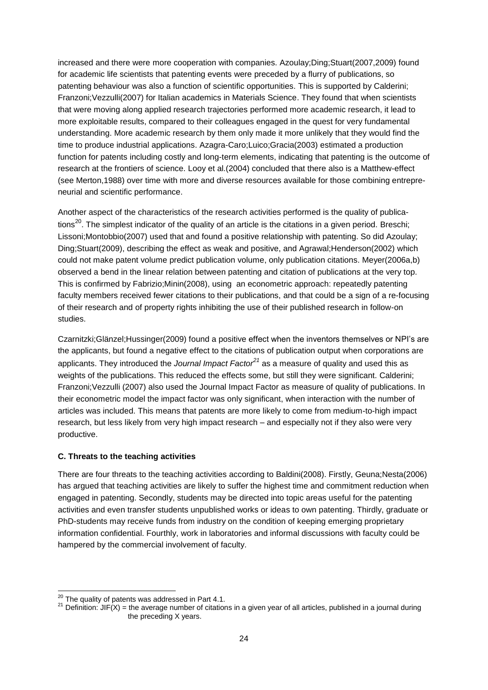increased and there were more cooperation with companies. Azoulay;Ding;Stuart(2007,2009) found for academic life scientists that patenting events were preceded by a flurry of publications, so patenting behaviour was also a function of scientific opportunities. This is supported by Calderini; Franzoni;Vezzulli(2007) for Italian academics in Materials Science. They found that when scientists that were moving along applied research trajectories performed more academic research, it lead to more exploitable results, compared to their colleagues engaged in the quest for very fundamental understanding. More academic research by them only made it more unlikely that they would find the time to produce industrial applications. Azagra-Caro;Luico;Gracia(2003) estimated a production function for patents including costly and long-term elements, indicating that patenting is the outcome of research at the frontiers of science. Looy et al.(2004) concluded that there also is a Matthew-effect (see Merton,1988) over time with more and diverse resources available for those combining entrepreneurial and scientific performance.

Another aspect of the characteristics of the research activities performed is the quality of publications<sup>20</sup>. The simplest indicator of the quality of an article is the citations in a given period. Breschi; Lissoni;Montobbio(2007) used that and found a positive relationship with patenting. So did Azoulay; Ding;Stuart(2009), describing the effect as weak and positive, and Agrawal;Henderson(2002) which could not make patent volume predict publication volume, only publication citations. Meyer(2006a,b) observed a bend in the linear relation between patenting and citation of publications at the very top. This is confirmed by Fabrizio;Minin(2008), using an econometric approach: repeatedly patenting faculty members received fewer citations to their publications, and that could be a sign of a re-focusing of their research and of property rights inhibiting the use of their published research in follow-on studies.

Czarnitzki;Glänzel;Hussinger(2009) found a positive effect when the inventors themselves or NPI's are the applicants, but found a negative effect to the citations of publication output when corporations are applicants. They introduced the *Journal Impact Factor<sup>21</sup>* as a measure of quality and used this as weights of the publications. This reduced the effects some, but still they were significant. Calderini; Franzoni;Vezzulli (2007) also used the Journal Impact Factor as measure of quality of publications. In their econometric model the impact factor was only significant, when interaction with the number of articles was included. This means that patents are more likely to come from medium-to-high impact research, but less likely from very high impact research – and especially not if they also were very productive.

### **C. Threats to the teaching activities**

There are four threats to the teaching activities according to Baldini(2008). Firstly, Geuna;Nesta(2006) has argued that teaching activities are likely to suffer the highest time and commitment reduction when engaged in patenting. Secondly, students may be directed into topic areas useful for the patenting activities and even transfer students unpublished works or ideas to own patenting. Thirdly, graduate or PhD-students may receive funds from industry on the condition of keeping emerging proprietary information confidential. Fourthly, work in laboratories and informal discussions with faculty could be hampered by the commercial involvement of faculty.

 $\overline{\phantom{a}}$ 

 $^{20}$  The quality of patents was addressed in Part 4.1.

<sup>&</sup>lt;sup>21</sup> Definition: JIF(X) = the average number of citations in a given year of all articles, published in a journal during the preceding X years.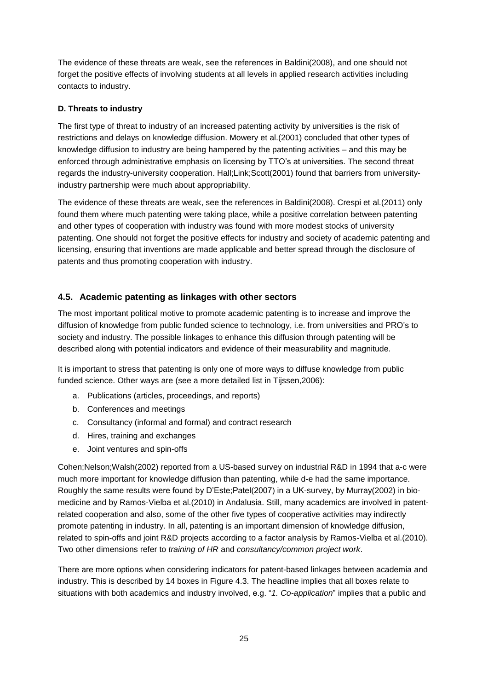The evidence of these threats are weak, see the references in Baldini(2008), and one should not forget the positive effects of involving students at all levels in applied research activities including contacts to industry.

### **D. Threats to industry**

The first type of threat to industry of an increased patenting activity by universities is the risk of restrictions and delays on knowledge diffusion. Mowery et al.(2001) concluded that other types of knowledge diffusion to industry are being hampered by the patenting activities – and this may be enforced through administrative emphasis on licensing by TTO's at universities. The second threat regards the industry-university cooperation. Hall;Link;Scott(2001) found that barriers from universityindustry partnership were much about appropriability.

The evidence of these threats are weak, see the references in Baldini(2008). Crespi et al.(2011) only found them where much patenting were taking place, while a positive correlation between patenting and other types of cooperation with industry was found with more modest stocks of university patenting. One should not forget the positive effects for industry and society of academic patenting and licensing, ensuring that inventions are made applicable and better spread through the disclosure of patents and thus promoting cooperation with industry.

### **4.5. Academic patenting as linkages with other sectors**

The most important political motive to promote academic patenting is to increase and improve the diffusion of knowledge from public funded science to technology, i.e. from universities and PRO's to society and industry. The possible linkages to enhance this diffusion through patenting will be described along with potential indicators and evidence of their measurability and magnitude.

It is important to stress that patenting is only one of more ways to diffuse knowledge from public funded science. Other ways are (see a more detailed list in Tijssen,2006):

- a. Publications (articles, proceedings, and reports)
- b. Conferences and meetings
- c. Consultancy (informal and formal) and contract research
- d. Hires, training and exchanges
- e. Joint ventures and spin-offs

Cohen;Nelson;Walsh(2002) reported from a US-based survey on industrial R&D in 1994 that a-c were much more important for knowledge diffusion than patenting, while d-e had the same importance. Roughly the same results were found by D'Este;Patel(2007) in a UK-survey, by Murray(2002) in biomedicine and by Ramos-Vielba et al.(2010) in Andalusia. Still, many academics are involved in patentrelated cooperation and also, some of the other five types of cooperative activities may indirectly promote patenting in industry. In all, patenting is an important dimension of knowledge diffusion, related to spin-offs and joint R&D projects according to a factor analysis by Ramos-Vielba et al.(2010). Two other dimensions refer to *training of HR* and *consultancy/common project work*.

There are more options when considering indicators for patent-based linkages between academia and industry. This is described by 14 boxes in Figure 4.3. The headline implies that all boxes relate to situations with both academics and industry involved, e.g. "*1. Co-application*" implies that a public and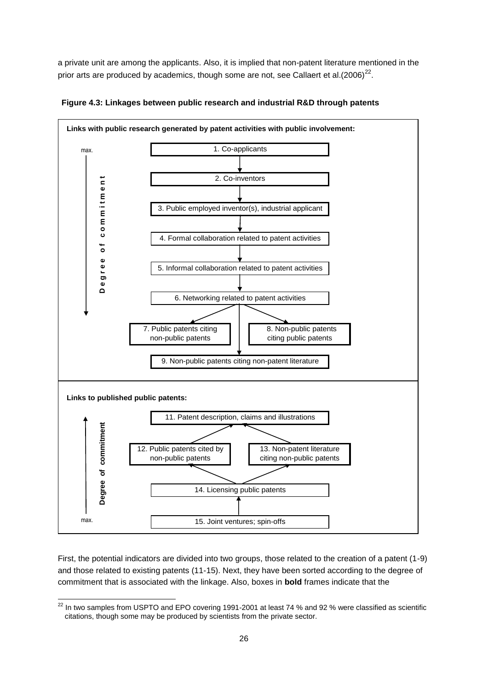a private unit are among the applicants. Also, it is implied that non-patent literature mentioned in the prior arts are produced by academics, though some are not, see Callaert et al.(2006)<sup>22</sup>.



**Figure 4.3: Linkages between public research and industrial R&D through patents**

First, the potential indicators are divided into two groups, those related to the creation of a patent (1-9) and those related to existing patents (11-15). Next, they have been sorted according to the degree of commitment that is associated with the linkage. Also, boxes in **bold** frames indicate that the

 $\overline{a}$  $^{22}$  In two samples from USPTO and EPO covering 1991-2001 at least 74 % and 92 % were classified as scientific citations, though some may be produced by scientists from the private sector.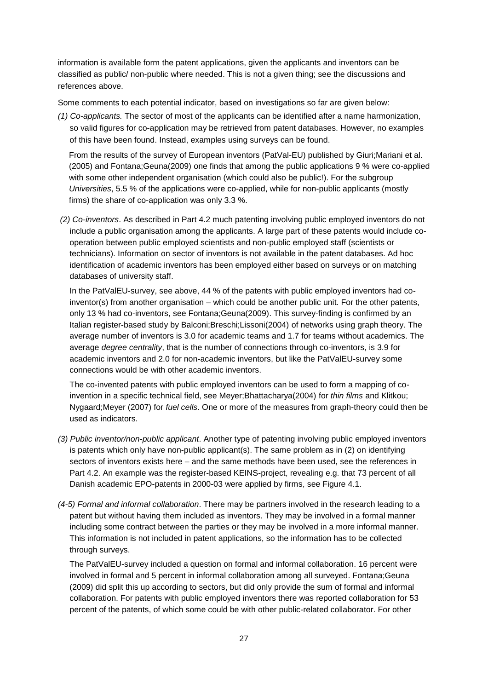information is available form the patent applications, given the applicants and inventors can be classified as public/ non-public where needed. This is not a given thing; see the discussions and references above.

Some comments to each potential indicator, based on investigations so far are given below:

*(1) Co-applicants.* The sector of most of the applicants can be identified after a name harmonization, so valid figures for co-application may be retrieved from patent databases. However, no examples of this have been found. Instead, examples using surveys can be found.

From the results of the survey of European inventors (PatVal-EU) published by Giuri;Mariani et al. (2005) and Fontana;Geuna(2009) one finds that among the public applications 9 % were co-applied with some other independent organisation (which could also be public!). For the subgroup *Universities*, 5.5 % of the applications were co-applied, while for non-public applicants (mostly firms) the share of co-application was only 3.3 %.

*(2) Co-inventors*. As described in Part 4.2 much patenting involving public employed inventors do not include a public organisation among the applicants. A large part of these patents would include cooperation between public employed scientists and non-public employed staff (scientists or technicians). Information on sector of inventors is not available in the patent databases. Ad hoc identification of academic inventors has been employed either based on surveys or on matching databases of university staff.

In the PatValEU-survey, see above, 44 % of the patents with public employed inventors had coinventor(s) from another organisation – which could be another public unit. For the other patents, only 13 % had co-inventors, see Fontana;Geuna(2009). This survey-finding is confirmed by an Italian register-based study by Balconi;Breschi;Lissoni(2004) of networks using graph theory. The average number of inventors is 3.0 for academic teams and 1.7 for teams without academics. The average *degree centrality*, that is the number of connections through co-inventors, is 3.9 for academic inventors and 2.0 for non-academic inventors, but like the PatValEU-survey some connections would be with other academic inventors.

The co-invented patents with public employed inventors can be used to form a mapping of coinvention in a specific technical field, see Meyer;Bhattacharya(2004) for *thin films* and Klitkou; Nygaard;Meyer (2007) for *fuel cells*. One or more of the measures from graph-theory could then be used as indicators.

- *(3) Public inventor/non-public applicant*. Another type of patenting involving public employed inventors is patents which only have non-public applicant(s). The same problem as in (2) on identifying sectors of inventors exists here – and the same methods have been used, see the references in Part 4.2. An example was the register-based KEINS-project, revealing e.g. that 73 percent of all Danish academic EPO-patents in 2000-03 were applied by firms, see Figure 4.1.
- *(4-5) Formal and informal collaboration*. There may be partners involved in the research leading to a patent but without having them included as inventors. They may be involved in a formal manner including some contract between the parties or they may be involved in a more informal manner. This information is not included in patent applications, so the information has to be collected through surveys.

The PatValEU-survey included a question on formal and informal collaboration. 16 percent were involved in formal and 5 percent in informal collaboration among all surveyed. Fontana;Geuna (2009) did split this up according to sectors, but did only provide the sum of formal and informal collaboration. For patents with public employed inventors there was reported collaboration for 53 percent of the patents, of which some could be with other public-related collaborator. For other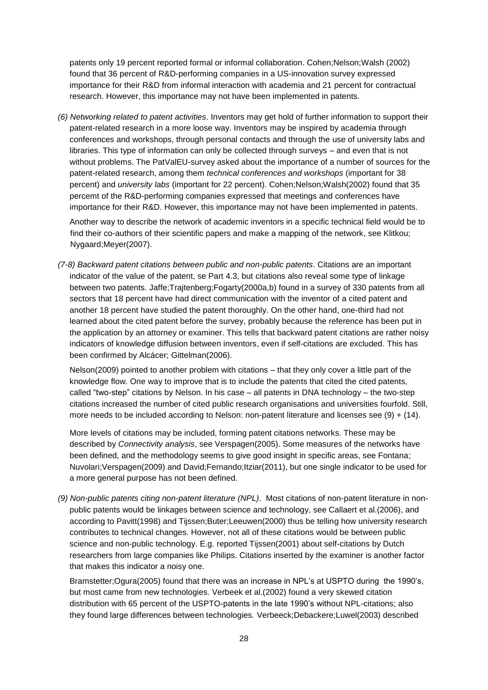patents only 19 percent reported formal or informal collaboration. Cohen;Nelson;Walsh (2002) found that 36 percent of R&D-performing companies in a US-innovation survey expressed importance for their R&D from informal interaction with academia and 21 percent for contractual research. However, this importance may not have been implemented in patents.

*(6) Networking related to patent activities*. Inventors may get hold of further information to support their patent-related research in a more loose way. Inventors may be inspired by academia through conferences and workshops, through personal contacts and through the use of university labs and libraries. This type of information can only be collected through surveys – and even that is not without problems. The PatValEU-survey asked about the importance of a number of sources for the patent-related research, among them *technical conferences and workshops* (important for 38 percent) and *university labs* (important for 22 percent). Cohen;Nelson;Walsh(2002) found that 35 percemt of the R&D-performing companies expressed that meetings and conferences have importance for their R&D. However, this importance may not have been implemented in patents.

Another way to describe the network of academic inventors in a specific technical field would be to find their co-authors of their scientific papers and make a mapping of the network, see Klitkou; Nygaard;Meyer(2007).

*(7-8) Backward patent citations between public and non-public patents*. Citations are an important indicator of the value of the patent, se Part 4.3, but citations also reveal some type of linkage between two patents. Jaffe;Trajtenberg;Fogarty(2000a,b) found in a survey of 330 patents from all sectors that 18 percent have had direct communication with the inventor of a cited patent and another 18 percent have studied the patent thoroughly. On the other hand, one-third had not learned about the cited patent before the survey, probably because the reference has been put in the application by an attorney or examiner. This tells that backward patent citations are rather noisy indicators of knowledge diffusion between inventors, even if self-citations are excluded. This has been confirmed by Alcácer; Gittelman(2006).

Nelson(2009) pointed to another problem with citations – that they only cover a little part of the knowledge flow. One way to improve that is to include the patents that cited the cited patents, called "two-step" citations by Nelson. In his case – all patents in DNA technology – the two-step citations increased the number of cited public research organisations and universities fourfold. Still, more needs to be included according to Nelson: non-patent literature and licenses see  $(9) + (14)$ .

More levels of citations may be included, forming patent citations networks. These may be described by *Connectivity analysis*, see Verspagen(2005). Some measures of the networks have been defined, and the methodology seems to give good insight in specific areas, see Fontana; Nuvolari;Verspagen(2009) and David;Fernando;Itziar(2011), but one single indicator to be used for a more general purpose has not been defined.

*(9) Non-public patents citing non-patent literature (NPL)*. Most citations of non-patent literature in nonpublic patents would be linkages between science and technology, see Callaert et al.(2006), and according to Pavitt(1998) and Tijssen;Buter;Leeuwen(2000) thus be telling how university research contributes to technical changes. However, not all of these citations would be between public science and non-public technology. E.g. reported Tijssen(2001) about self-citations by Dutch researchers from large companies like Philips. Citations inserted by the examiner is another factor that makes this indicator a noisy one.

Bramstetter;Ogura(2005) found that there was an increase in NPL's at USPTO during the 1990's, but most came from new technologies. Verbeek et al.(2002) found a very skewed citation distribution with 65 percent of the USPTO-patents in the late 1990's without NPL-citations; also they found large differences between technologies. Verbeeck;Debackere;Luwel(2003) described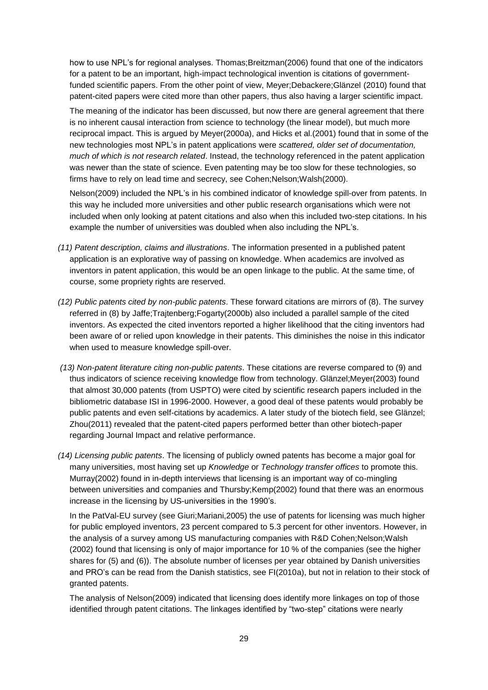how to use NPL's for regional analyses. Thomas;Breitzman(2006) found that one of the indicators for a patent to be an important, high-impact technological invention is citations of governmentfunded scientific papers. From the other point of view, Meyer;Debackere;Glänzel (2010) found that patent-cited papers were cited more than other papers, thus also having a larger scientific impact.

The meaning of the indicator has been discussed, but now there are general agreement that there is no inherent causal interaction from science to technology (the linear model), but much more reciprocal impact. This is argued by Meyer(2000a), and Hicks et al.(2001) found that in some of the new technologies most NPL's in patent applications were *scattered, older set of documentation, much of which is not research related*. Instead, the technology referenced in the patent application was newer than the state of science. Even patenting may be too slow for these technologies, so firms have to rely on lead time and secrecy, see Cohen;Nelson;Walsh(2000).

Nelson(2009) included the NPL's in his combined indicator of knowledge spill-over from patents. In this way he included more universities and other public research organisations which were not included when only looking at patent citations and also when this included two-step citations. In his example the number of universities was doubled when also including the NPL's.

- *(11) Patent description, claims and illustrations*. The information presented in a published patent application is an explorative way of passing on knowledge. When academics are involved as inventors in patent application, this would be an open linkage to the public. At the same time, of course, some propriety rights are reserved.
- *(12) Public patents cited by non-public patents*. These forward citations are mirrors of (8). The survey referred in (8) by Jaffe;Trajtenberg;Fogarty(2000b) also included a parallel sample of the cited inventors. As expected the cited inventors reported a higher likelihood that the citing inventors had been aware of or relied upon knowledge in their patents. This diminishes the noise in this indicator when used to measure knowledge spill-over.
- *(13) Non-patent literature citing non-public patents*. These citations are reverse compared to (9) and thus indicators of science receiving knowledge flow from technology. Glänzel;Meyer(2003) found that almost 30,000 patents (from USPTO) were cited by scientific research papers included in the bibliometric database ISI in 1996-2000. However, a good deal of these patents would probably be public patents and even self-citations by academics. A later study of the biotech field, see Glänzel; Zhou(2011) revealed that the patent-cited papers performed better than other biotech-paper regarding Journal Impact and relative performance.
- *(14) Licensing public patents*. The licensing of publicly owned patents has become a major goal for many universities, most having set up *Knowledge* or *Technology transfer offices* to promote this. Murray(2002) found in in-depth interviews that licensing is an important way of co-mingling between universities and companies and Thursby;Kemp(2002) found that there was an enormous increase in the licensing by US-universities in the 1990's.

In the PatVal-EU survey (see Giuri;Mariani,2005) the use of patents for licensing was much higher for public employed inventors, 23 percent compared to 5.3 percent for other inventors. However, in the analysis of a survey among US manufacturing companies with R&D Cohen;Nelson;Walsh (2002) found that licensing is only of major importance for 10 % of the companies (see the higher shares for (5) and (6)). The absolute number of licenses per year obtained by Danish universities and PRO's can be read from the Danish statistics, see FI(2010a), but not in relation to their stock of granted patents.

The analysis of Nelson(2009) indicated that licensing does identify more linkages on top of those identified through patent citations. The linkages identified by "two-step" citations were nearly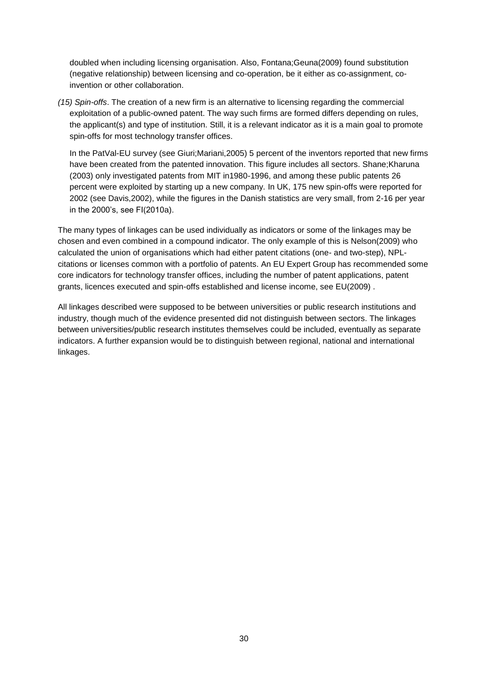doubled when including licensing organisation. Also, Fontana;Geuna(2009) found substitution (negative relationship) between licensing and co-operation, be it either as co-assignment, coinvention or other collaboration.

*(15) Spin-offs*. The creation of a new firm is an alternative to licensing regarding the commercial exploitation of a public-owned patent. The way such firms are formed differs depending on rules, the applicant(s) and type of institution. Still, it is a relevant indicator as it is a main goal to promote spin-offs for most technology transfer offices.

In the PatVal-EU survey (see Giuri;Mariani,2005) 5 percent of the inventors reported that new firms have been created from the patented innovation. This figure includes all sectors. Shane; Kharuna (2003) only investigated patents from MIT in1980-1996, and among these public patents 26 percent were exploited by starting up a new company. In UK, 175 new spin-offs were reported for 2002 (see Davis,2002), while the figures in the Danish statistics are very small, from 2-16 per year in the 2000's, see FI(2010a).

The many types of linkages can be used individually as indicators or some of the linkages may be chosen and even combined in a compound indicator. The only example of this is Nelson(2009) who calculated the union of organisations which had either patent citations (one- and two-step), NPLcitations or licenses common with a portfolio of patents. An EU Expert Group has recommended some core indicators for technology transfer offices, including the number of patent applications, patent grants, licences executed and spin-offs established and license income, see EU(2009) .

All linkages described were supposed to be between universities or public research institutions and industry, though much of the evidence presented did not distinguish between sectors. The linkages between universities/public research institutes themselves could be included, eventually as separate indicators. A further expansion would be to distinguish between regional, national and international linkages.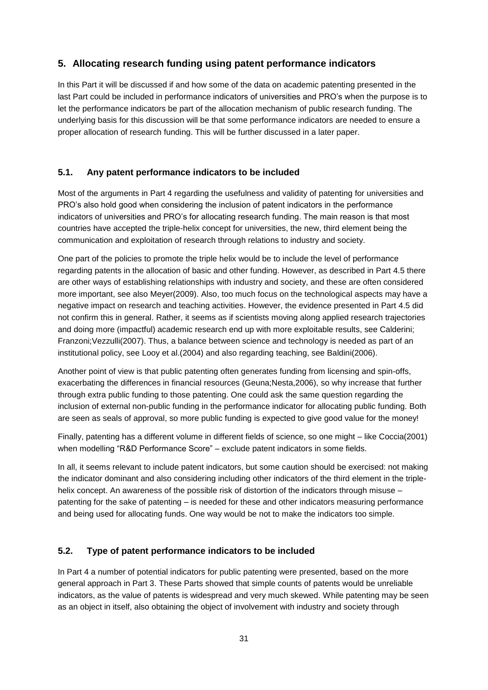### **5. Allocating research funding using patent performance indicators**

In this Part it will be discussed if and how some of the data on academic patenting presented in the last Part could be included in performance indicators of universities and PRO's when the purpose is to let the performance indicators be part of the allocation mechanism of public research funding. The underlying basis for this discussion will be that some performance indicators are needed to ensure a proper allocation of research funding. This will be further discussed in a later paper.

### **5.1. Any patent performance indicators to be included**

Most of the arguments in Part 4 regarding the usefulness and validity of patenting for universities and PRO's also hold good when considering the inclusion of patent indicators in the performance indicators of universities and PRO's for allocating research funding. The main reason is that most countries have accepted the triple-helix concept for universities, the new, third element being the communication and exploitation of research through relations to industry and society.

One part of the policies to promote the triple helix would be to include the level of performance regarding patents in the allocation of basic and other funding. However, as described in Part 4.5 there are other ways of establishing relationships with industry and society, and these are often considered more important, see also Meyer(2009). Also, too much focus on the technological aspects may have a negative impact on research and teaching activities. However, the evidence presented in Part 4.5 did not confirm this in general. Rather, it seems as if scientists moving along applied research trajectories and doing more (impactful) academic research end up with more exploitable results, see Calderini; Franzoni;Vezzulli(2007). Thus, a balance between science and technology is needed as part of an institutional policy, see Looy et al.(2004) and also regarding teaching, see Baldini(2006).

Another point of view is that public patenting often generates funding from licensing and spin-offs, exacerbating the differences in financial resources (Geuna;Nesta,2006), so why increase that further through extra public funding to those patenting. One could ask the same question regarding the inclusion of external non-public funding in the performance indicator for allocating public funding. Both are seen as seals of approval, so more public funding is expected to give good value for the money!

Finally, patenting has a different volume in different fields of science, so one might – like Coccia(2001) when modelling "R&D Performance Score" – exclude patent indicators in some fields.

In all, it seems relevant to include patent indicators, but some caution should be exercised: not making the indicator dominant and also considering including other indicators of the third element in the triplehelix concept. An awareness of the possible risk of distortion of the indicators through misuse – patenting for the sake of patenting – is needed for these and other indicators measuring performance and being used for allocating funds. One way would be not to make the indicators too simple.

### **5.2. Type of patent performance indicators to be included**

In Part 4 a number of potential indicators for public patenting were presented, based on the more general approach in Part 3. These Parts showed that simple counts of patents would be unreliable indicators, as the value of patents is widespread and very much skewed. While patenting may be seen as an object in itself, also obtaining the object of involvement with industry and society through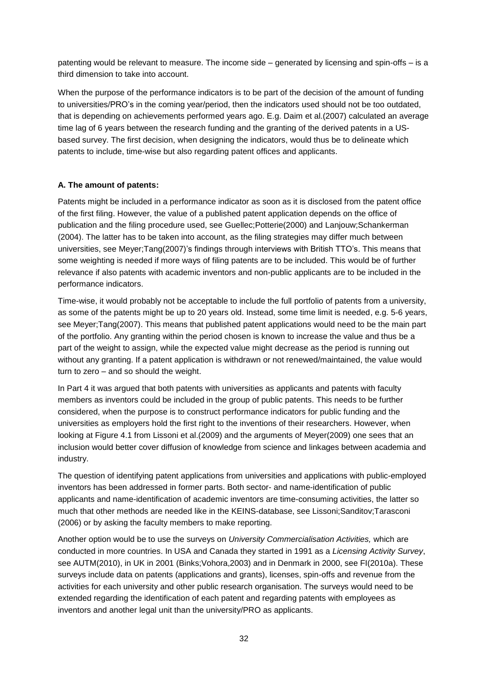patenting would be relevant to measure. The income side – generated by licensing and spin-offs – is a third dimension to take into account.

When the purpose of the performance indicators is to be part of the decision of the amount of funding to universities/PRO's in the coming year/period, then the indicators used should not be too outdated, that is depending on achievements performed years ago. E.g. Daim et al.(2007) calculated an average time lag of 6 years between the research funding and the granting of the derived patents in a USbased survey. The first decision, when designing the indicators, would thus be to delineate which patents to include, time-wise but also regarding patent offices and applicants.

#### **A. The amount of patents:**

Patents might be included in a performance indicator as soon as it is disclosed from the patent office of the first filing. However, the value of a published patent application depends on the office of publication and the filing procedure used, see Guellec;Potterie(2000) and Lanjouw;Schankerman (2004). The latter has to be taken into account, as the filing strategies may differ much between universities, see Meyer;Tang(2007)'s findings through interviews with British TTO's. This means that some weighting is needed if more ways of filing patents are to be included. This would be of further relevance if also patents with academic inventors and non-public applicants are to be included in the performance indicators.

Time-wise, it would probably not be acceptable to include the full portfolio of patents from a university, as some of the patents might be up to 20 years old. Instead, some time limit is needed, e.g. 5-6 years, see Meyer;Tang(2007). This means that published patent applications would need to be the main part of the portfolio. Any granting within the period chosen is known to increase the value and thus be a part of the weight to assign, while the expected value might decrease as the period is running out without any granting. If a patent application is withdrawn or not renewed/maintained, the value would turn to zero – and so should the weight.

In Part 4 it was argued that both patents with universities as applicants and patents with faculty members as inventors could be included in the group of public patents. This needs to be further considered, when the purpose is to construct performance indicators for public funding and the universities as employers hold the first right to the inventions of their researchers. However, when looking at Figure 4.1 from Lissoni et al.(2009) and the arguments of Meyer(2009) one sees that an inclusion would better cover diffusion of knowledge from science and linkages between academia and industry.

The question of identifying patent applications from universities and applications with public-employed inventors has been addressed in former parts. Both sector- and name-identification of public applicants and name-identification of academic inventors are time-consuming activities, the latter so much that other methods are needed like in the KEINS-database, see Lissoni;Sanditov;Tarasconi (2006) or by asking the faculty members to make reporting.

Another option would be to use the surveys on *University Commercialisation Activities,* which are conducted in more countries. In USA and Canada they started in 1991 as a *Licensing Activity Survey*, see AUTM(2010), in UK in 2001 (Binks;Vohora,2003) and in Denmark in 2000, see FI(2010a). These surveys include data on patents (applications and grants), licenses, spin-offs and revenue from the activities for each university and other public research organisation. The surveys would need to be extended regarding the identification of each patent and regarding patents with employees as inventors and another legal unit than the university/PRO as applicants.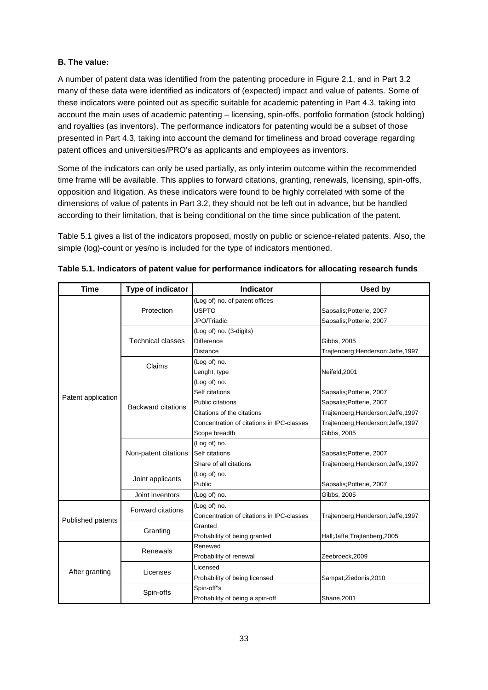### **B. The value:**

A number of patent data was identified from the patenting procedure in Figure 2.1, and in Part 3.2 many of these data were identified as indicators of (expected) impact and value of patents. Some of these indicators were pointed out as specific suitable for academic patenting in Part 4.3, taking into account the main uses of academic patenting – licensing, spin-offs, portfolio formation (stock holding) and royalties (as inventors). The performance indicators for patenting would be a subset of those presented in Part 4.3, taking into account the demand for timeliness and broad coverage regarding patent offices and universities/PRO's as applicants and employees as inventors.

Some of the indicators can only be used partially, as only interim outcome within the recommended time frame will be available. This applies to forward citations, granting, renewals, licensing, spin-offs, opposition and litigation. As these indicators were found to be highly correlated with some of the dimensions of value of patents in Part 3.2, they should not be left out in advance, but be handled according to their limitation, that is being conditional on the time since publication of the patent.

Table 5.1 gives a list of the indicators proposed, mostly on public or science-related patents. Also, the simple (log)-count or yes/no is included for the type of indicators mentioned.

| <b>Time</b>        | Type of indicator         | <b>Indicator</b>                          | Used by                          |
|--------------------|---------------------------|-------------------------------------------|----------------------------------|
|                    |                           | (Log of) no. of patent offices            |                                  |
|                    | Protection                | <b>USPTO</b>                              | Sapsalis; Potterie, 2007         |
|                    |                           | JPO/Triadic                               | Sapsalis; Potterie, 2007         |
|                    |                           | (Log of) no. (3-digits)                   |                                  |
|                    | <b>Technical classes</b>  | <b>Difference</b>                         | Gibbs, 2005                      |
|                    |                           | Distance                                  | Trajtenberg;Henderson;Jaffe,1997 |
|                    | Claims                    | (Log of) no.                              |                                  |
|                    |                           | Lenght, type                              | Neifeld, 2001                    |
|                    |                           | (Log of) no.                              |                                  |
|                    |                           | Self citations                            | Sapsalis; Potterie, 2007         |
| Patent application | <b>Backward citations</b> | Public citations                          | Sapsalis; Potterie, 2007         |
|                    |                           | Citations of the citations                | Trajtenberg;Henderson;Jaffe,1997 |
|                    |                           | Concentration of citations in IPC-classes | Trajtenberg;Henderson;Jaffe,1997 |
|                    |                           | Scope breadth                             | Gibbs, 2005                      |
|                    | Non-patent citations      | (Log of) no.                              |                                  |
|                    |                           | Self citations                            | Sapsalis; Potterie, 2007         |
|                    |                           | Share of all citations                    | Trajtenberg;Henderson;Jaffe,1997 |
|                    | Joint applicants          | (Log of) no.                              |                                  |
|                    |                           | Public                                    | Sapsalis; Potterie, 2007         |
|                    | Joint inventors           | (Log of) no.                              | Gibbs, 2005                      |
|                    | <b>Forward citations</b>  | (Log of) no.                              |                                  |
| Published patents  |                           | Concentration of citations in IPC-classes | Trajtenberg;Henderson;Jaffe,1997 |
|                    | Granting                  | Granted                                   |                                  |
|                    |                           | Probability of being granted              | Hall; Jaffe; Trajtenberg, 2005   |
|                    | Renewals                  | Renewed                                   |                                  |
|                    |                           | Probability of renewal                    | Zeebroeck, 2009                  |
| After granting     | Licenses                  | Licensed                                  |                                  |
|                    |                           | Probability of being licensed             | Sampat;Ziedonis,2010             |
|                    | Spin-offs                 | Spin-off"s                                |                                  |
|                    |                           | Probability of being a spin-off           | Shane, 2001                      |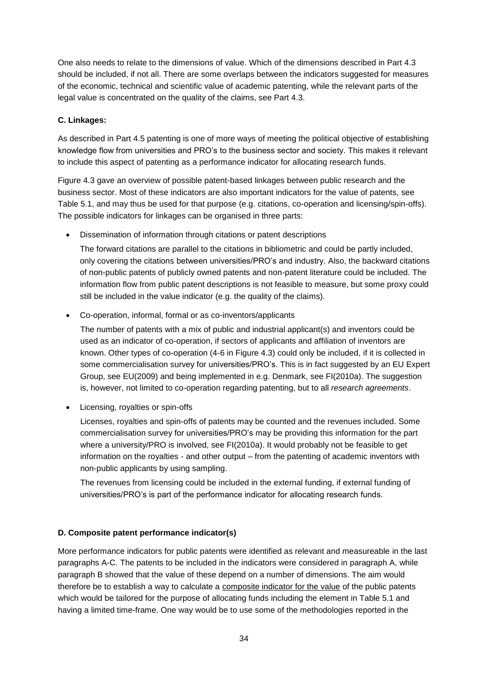One also needs to relate to the dimensions of value. Which of the dimensions described in Part 4.3 should be included, if not all. There are some overlaps between the indicators suggested for measures of the economic, technical and scientific value of academic patenting, while the relevant parts of the legal value is concentrated on the quality of the claims, see Part 4.3.

### **C. Linkages:**

As described in Part 4.5 patenting is one of more ways of meeting the political objective of establishing knowledge flow from universities and PRO's to the business sector and society. This makes it relevant to include this aspect of patenting as a performance indicator for allocating research funds.

Figure 4.3 gave an overview of possible patent-based linkages between public research and the business sector. Most of these indicators are also important indicators for the value of patents, see Table 5.1, and may thus be used for that purpose (e.g. citations, co-operation and licensing/spin-offs). The possible indicators for linkages can be organised in three parts:

Dissemination of information through citations or patent descriptions

The forward citations are parallel to the citations in bibliometric and could be partly included, only covering the citations between universities/PRO's and industry. Also, the backward citations of non-public patents of publicly owned patents and non-patent literature could be included. The information flow from public patent descriptions is not feasible to measure, but some proxy could still be included in the value indicator (e.g. the quality of the claims).

Co-operation, informal, formal or as co-inventors/applicants

The number of patents with a mix of public and industrial applicant(s) and inventors could be used as an indicator of co-operation, if sectors of applicants and affiliation of inventors are known. Other types of co-operation (4-6 in Figure 4.3) could only be included, if it is collected in some commercialisation survey for universities/PRO's. This is in fact suggested by an EU Expert Group, see EU(2009) and being implemented in e.g. Denmark, see FI(2010a). The suggestion is, however, not limited to co-operation regarding patenting, but to all *research agreements*.

Licensing, royalties or spin-offs

Licenses, royalties and spin-offs of patents may be counted and the revenues included. Some commercialisation survey for universities/PRO's may be providing this information for the part where a university/PRO is involved, see FI(2010a). It would probably not be feasible to get information on the royalties - and other output – from the patenting of academic inventors with non-public applicants by using sampling.

The revenues from licensing could be included in the external funding, if external funding of universities/PRO's is part of the performance indicator for allocating research funds.

### **D. Composite patent performance indicator(s)**

More performance indicators for public patents were identified as relevant and measureable in the last paragraphs A-C. The patents to be included in the indicators were considered in paragraph A, while paragraph B showed that the value of these depend on a number of dimensions. The aim would therefore be to establish a way to calculate a composite indicator for the value of the public patents which would be tailored for the purpose of allocating funds including the element in Table 5.1 and having a limited time-frame. One way would be to use some of the methodologies reported in the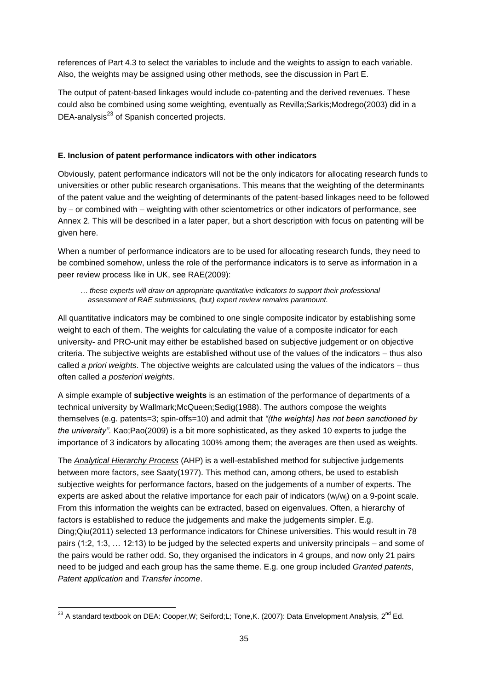references of Part 4.3 to select the variables to include and the weights to assign to each variable. Also, the weights may be assigned using other methods, see the discussion in Part E.

The output of patent-based linkages would include co-patenting and the derived revenues. These could also be combined using some weighting, eventually as Revilla;Sarkis;Modrego(2003) did in a DEA-analysis $^{23}$  of Spanish concerted projects.

### **E. Inclusion of patent performance indicators with other indicators**

Obviously, patent performance indicators will not be the only indicators for allocating research funds to universities or other public research organisations. This means that the weighting of the determinants of the patent value and the weighting of determinants of the patent-based linkages need to be followed by – or combined with – weighting with other scientometrics or other indicators of performance, see Annex 2. This will be described in a later paper, but a short description with focus on patenting will be given here.

When a number of performance indicators are to be used for allocating research funds, they need to be combined somehow, unless the role of the performance indicators is to serve as information in a peer review process like in UK, see RAE(2009):

### *… these experts will draw on appropriate quantitative indicators to support their professional assessment of RAE submissions, (*but*) expert review remains paramount.*

All quantitative indicators may be combined to one single composite indicator by establishing some weight to each of them. The weights for calculating the value of a composite indicator for each university- and PRO-unit may either be established based on subjective judgement or on objective criteria. The subjective weights are established without use of the values of the indicators – thus also called *a priori weights*. The objective weights are calculated using the values of the indicators – thus often called *a posteriori weights*.

A simple example of **subjective weights** is an estimation of the performance of departments of a technical university by Wallmark;McQueen;Sedig(1988). The authors compose the weights themselves (e.g. patents=3; spin-offs=10) and admit that *"(the weights) has not been sanctioned by the university"*. Kao;Pao(2009) is a bit more sophisticated, as they asked 10 experts to judge the importance of 3 indicators by allocating 100% among them; the averages are then used as weights.

The *Analytical Hierarchy Process* (AHP) is a well-established method for subjective judgements between more factors, see Saaty(1977). This method can, among others, be used to establish subjective weights for performance factors, based on the judgements of a number of experts. The experts are asked about the relative importance for each pair of indicators (w<sub>i</sub>/w<sub>i</sub>) on a 9-point scale. From this information the weights can be extracted, based on eigenvalues. Often, a hierarchy of factors is established to reduce the judgements and make the judgements simpler. E.g. Ding;Qiu(2011) selected 13 performance indicators for Chinese universities. This would result in 78 pairs (1:2, 1:3, … 12:13) to be judged by the selected experts and university principals – and some of the pairs would be rather odd. So, they organised the indicators in 4 groups, and now only 21 pairs need to be judged and each group has the same theme. E.g. one group included *Granted patents*, *Patent application* and *Transfer income*.

l  $^{23}$  A standard textbook on DEA: Cooper,W; Seiford;L; Tone,K. (2007): Data Envelopment Analysis, 2<sup>nd</sup> Ed.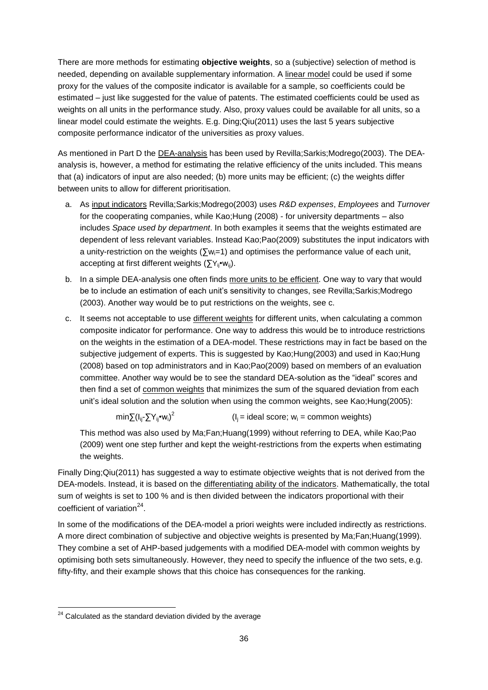There are more methods for estimating **objective weights**, so a (subjective) selection of method is needed, depending on available supplementary information. A linear model could be used if some proxy for the values of the composite indicator is available for a sample, so coefficients could be estimated – just like suggested for the value of patents. The estimated coefficients could be used as weights on all units in the performance study. Also, proxy values could be available for all units, so a linear model could estimate the weights. E.g. Ding;Qiu(2011) uses the last 5 years subjective composite performance indicator of the universities as proxy values.

As mentioned in Part D the DEA-analysis has been used by Revilla;Sarkis;Modrego(2003). The DEAanalysis is, however, a method for estimating the relative efficiency of the units included. This means that (a) indicators of input are also needed; (b) more units may be efficient; (c) the weights differ between units to allow for different prioritisation.

- a. As input indicators Revilla;Sarkis;Modrego(2003) uses *R&D expenses*, *Employees* and *Turnover* for the cooperating companies, while Kao;Hung (2008) - for university departments – also includes *Space used by department*. In both examples it seems that the weights estimated are dependent of less relevant variables. Instead Kao;Pao(2009) substitutes the input indicators with a unity-restriction on the weights ( $\sum w_i=1$ ) and optimises the performance value of each unit, accepting at first different weights ( $\sum Y_{ii} \cdot W_{ii}$ ).
- b. In a simple DEA-analysis one often finds more units to be efficient. One way to vary that would be to include an estimation of each unit's sensitivity to changes, see Revilla;Sarkis;Modrego (2003). Another way would be to put restrictions on the weights, see c.
- c. It seems not acceptable to use different weights for different units, when calculating a common composite indicator for performance. One way to address this would be to introduce restrictions on the weights in the estimation of a DEA-model. These restrictions may in fact be based on the subjective judgement of experts. This is suggested by Kao;Hung(2003) and used in Kao;Hung (2008) based on top administrators and in Kao;Pao(2009) based on members of an evaluation committee. Another way would be to see the standard DEA-solution as the "ideal" scores and then find a set of common weights that minimizes the sum of the squared deviation from each unit's ideal solution and the solution when using the common weights, see Kao;Hung(2005):

min∑(l<sub>ij</sub>-∑Y<sub>ij</sub>•w<sub>i</sub>)<sup>2</sup>  $(I_i = ideal score; w_i = common weights)$ 

This method was also used by Ma;Fan;Huang(1999) without referring to DEA, while Kao;Pao (2009) went one step further and kept the weight-restrictions from the experts when estimating the weights.

Finally Ding;Qiu(2011) has suggested a way to estimate objective weights that is not derived from the DEA-models. Instead, it is based on the differentiating ability of the indicators. Mathematically, the total sum of weights is set to 100 % and is then divided between the indicators proportional with their coefficient of variation<sup>24</sup>.

In some of the modifications of the DEA-model a priori weights were included indirectly as restrictions. A more direct combination of subjective and objective weights is presented by Ma;Fan;Huang(1999). They combine a set of AHP-based judgements with a modified DEA-model with common weights by optimising both sets simultaneously. However, they need to specify the influence of the two sets, e.g. fifty-fifty, and their example shows that this choice has consequences for the ranking.

l  $24$  Calculated as the standard deviation divided by the average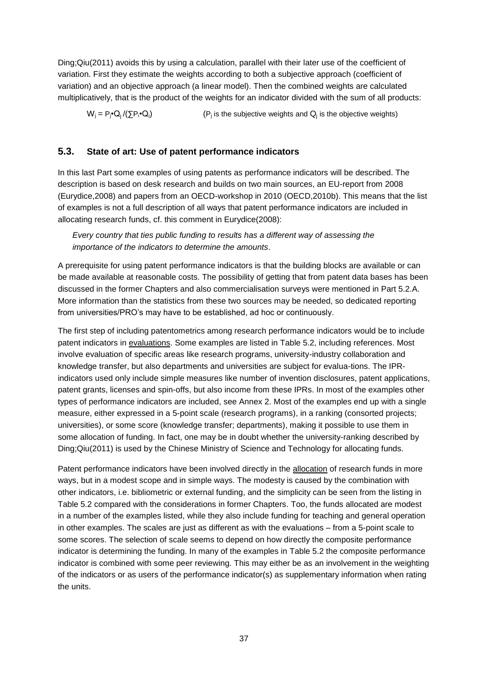Ding;Qiu(2011) avoids this by using a calculation, parallel with their later use of the coefficient of variation. First they estimate the weights according to both a subjective approach (coefficient of variation) and an objective approach (a linear model). Then the combined weights are calculated multiplicatively, that is the product of the weights for an indicator divided with the sum of all products:

 $W_i = P_i \cdot Q_i / (\nabla P_i \cdot Q_i)$  $\mathcal{O}(\sum P_i \cdot Q_i)$  (P<sub>j</sub> is the subjective weights and  $Q_j$  is the objective weights)

### **5.3. State of art: Use of patent performance indicators**

In this last Part some examples of using patents as performance indicators will be described. The description is based on desk research and builds on two main sources, an EU-report from 2008 (Eurydice,2008) and papers from an OECD-workshop in 2010 (OECD,2010b). This means that the list of examples is not a full description of all ways that patent performance indicators are included in allocating research funds, cf. this comment in Eurydice(2008):

*Every country that ties public funding to results has a different way of assessing the importance of the indicators to determine the amounts*.

A prerequisite for using patent performance indicators is that the building blocks are available or can be made available at reasonable costs. The possibility of getting that from patent data bases has been discussed in the former Chapters and also commercialisation surveys were mentioned in Part 5.2.A. More information than the statistics from these two sources may be needed, so dedicated reporting from universities/PRO's may have to be established, ad hoc or continuously.

The first step of including patentometrics among research performance indicators would be to include patent indicators in evaluations. Some examples are listed in Table 5.2, including references. Most involve evaluation of specific areas like research programs, university-industry collaboration and knowledge transfer, but also departments and universities are subject for evalua-tions. The IPRindicators used only include simple measures like number of invention disclosures, patent applications, patent grants, licenses and spin-offs, but also income from these IPRs. In most of the examples other types of performance indicators are included, see Annex 2. Most of the examples end up with a single measure, either expressed in a 5-point scale (research programs), in a ranking (consorted projects; universities), or some score (knowledge transfer; departments), making it possible to use them in some allocation of funding. In fact, one may be in doubt whether the university-ranking described by Ding;Qiu(2011) is used by the Chinese Ministry of Science and Technology for allocating funds.

Patent performance indicators have been involved directly in the allocation of research funds in more ways, but in a modest scope and in simple ways. The modesty is caused by the combination with other indicators, i.e. bibliometric or external funding, and the simplicity can be seen from the listing in Table 5.2 compared with the considerations in former Chapters. Too, the funds allocated are modest in a number of the examples listed, while they also include funding for teaching and general operation in other examples. The scales are just as different as with the evaluations – from a 5-point scale to some scores. The selection of scale seems to depend on how directly the composite performance indicator is determining the funding. In many of the examples in Table 5.2 the composite performance indicator is combined with some peer reviewing. This may either be as an involvement in the weighting of the indicators or as users of the performance indicator(s) as supplementary information when rating the units.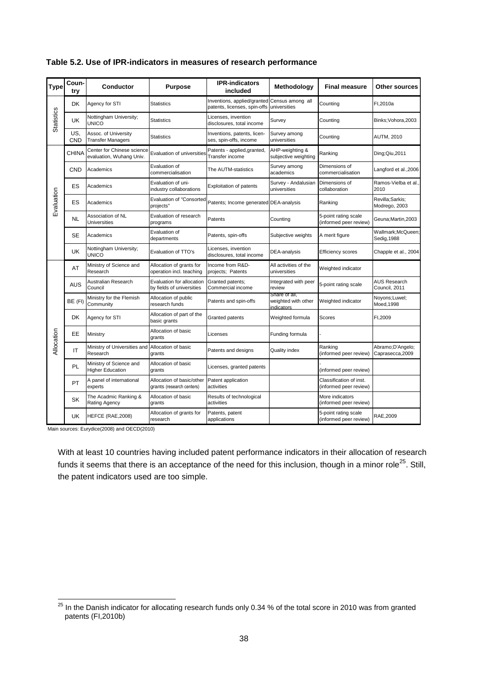| <b>Type</b>       | Coun-<br>try | <b>Conductor</b>                                       | <b>Purpose</b>                                         | <b>IPR-indicators</b><br>included                           | Methodology                                        | <b>Final measure</b>                              | Other sources                        |
|-------------------|--------------|--------------------------------------------------------|--------------------------------------------------------|-------------------------------------------------------------|----------------------------------------------------|---------------------------------------------------|--------------------------------------|
|                   | <b>DK</b>    | Agency for STI                                         | Statistics                                             | Inventions, applied/granted<br>patents, licenses, spin-offs | Census among all<br>universities                   | Counting                                          | FI,2010a                             |
| <b>Statistics</b> | UK           | Nottingham University;<br>UNICO                        | <b>Statistics</b>                                      | Licenses, invention<br>disclosures, total income            | Survey                                             | Counting                                          | Binks; Vohora, 2003                  |
|                   | US,<br>CND   | Assoc. of University<br><b>Transfer Managers</b>       | Statistics                                             | Inventions, patents, licen-<br>ses, spin-offs, income       | Survey among<br>universities                       | Counting                                          | AUTM, 2010                           |
|                   | <b>CHINA</b> | Center for Chinese science<br>evaluation, Wuhang Univ. | Evaluation of universities                             | Patents - applied, granted,<br>Transfer income              | AHP-weighting &<br>subjective weighting            | Ranking                                           | Ding; Qiu, 2011                      |
|                   | <b>CND</b>   | Academics                                              | Evaluation of<br>commercialisation                     | The AUTM-statistics                                         | Survey among<br>academics                          | Dimensions of<br>commercialisation                | Langford et al.,2006                 |
|                   | ES           | Academics                                              | Evaluation of uni-<br>industry collaborations          | Exploitation of patents                                     | Survey - Andalusian<br>universities                | Dimensions of<br>collaboration                    | Ramos-Vielba et al.,<br>2010         |
| Evaluation        | ES           | Academics                                              | <b>Evaluation of "Consorted</b><br>projects"           | Patents; Income generated DEA-analysis                      |                                                    | Ranking                                           | Revilla;Sarkis;<br>Modrego, 2003     |
|                   | <b>NL</b>    | Association of NL<br>Universities                      | Evaluation of research<br>programs                     | Patents                                                     | Counting                                           | 5-point rating scale<br>(informed peer review)    | Geuna:Martin.2003                    |
|                   | <b>SE</b>    | Academics                                              | Evaluation of<br>departments                           | Patents, spin-offs                                          | Subjective weights                                 | A merit figure                                    | Wallmark;McQueen;<br>Sedig, 1988     |
|                   | UK           | Nottingham University;<br>UNICO                        | Evaluation of TTO's                                    | Licenses, invention<br>disclosures, total income            | DEA-analysis                                       | <b>Efficiency scores</b>                          | Chapple et al., 2004                 |
|                   | AT           | Ministry of Science and<br>Research                    | Allocation of grants for<br>operation incl. teaching   | Income from R&D-<br>projects; Patents                       | All activities of the<br>universities              | Weighted indicator                                |                                      |
|                   | <b>AUS</b>   | Australian Research<br>Council                         | Evaluation for allocation<br>by fields of universities | Granted patents;<br>Commercial income                       | Integrated with peer<br>review                     | 5-point rating scale                              | <b>AUS Research</b><br>Council, 2011 |
|                   | BE (FI)      | Ministry for the Flemish<br>Community                  | Allocation of public<br>research funds                 | Patents and spin-offs                                       | Share of all,<br>weighted with other<br>indicators | Weighted indicator                                | Noyons;Luwel;<br>Moed, 1998          |
|                   | <b>DK</b>    | Agency for STI                                         | Allocation of part of the<br>basic grants              | Granted patents                                             | Weighted formula                                   | Scores                                            | FI,2009                              |
| Allocation        | EE           | Ministry                                               | Allocation of basic<br>grants                          | Licenses                                                    | Funding formula                                    |                                                   |                                      |
|                   | IT           | Ministry of Universities and<br>Research               | Allocation of basic<br>grants                          | Patents and designs                                         | <b>Quality index</b>                               | Ranking<br>(informed peer review)                 | Abramo;D'Angelo;<br>Caprasecca, 2009 |
|                   | <b>PL</b>    | Ministry of Science and<br><b>Higher Education</b>     | Allocation of basic<br>grants                          | Licenses, granted patents                                   |                                                    | (informed peer review)                            |                                      |
|                   | PT           | A panel of international<br>experts                    | Allocation of basic/other<br>grants (research centers) | Patent application<br>activities                            |                                                    | Classification of inst.<br>(informed peer review) |                                      |
|                   | SK           | The Acadmic Ranking &<br>Rating Agency                 | Allocation of basic<br>grants                          | Results of technological<br>activities                      |                                                    | More indicators<br>(informed peer review)         |                                      |
|                   | UK           | HEFCE (RAE, 2008)                                      | Allocation of grants for<br>research                   | Patents, patent<br>applications                             |                                                    | 5-point rating scale<br>(informed peer review)    | RAE, 2009                            |

### **Table 5.2. Use of IPR-indicators in measures of research performance**

 $\overline{a}$ 

With at least 10 countries having included patent performance indicators in their allocation of research funds it seems that there is an acceptance of the need for this inclusion, though in a minor role<sup>25</sup>. Still, the patent indicators used are too simple.

 $^{25}$  In the Danish indicator for allocating research funds only 0.34 % of the total score in 2010 was from granted patents (FI,2010b)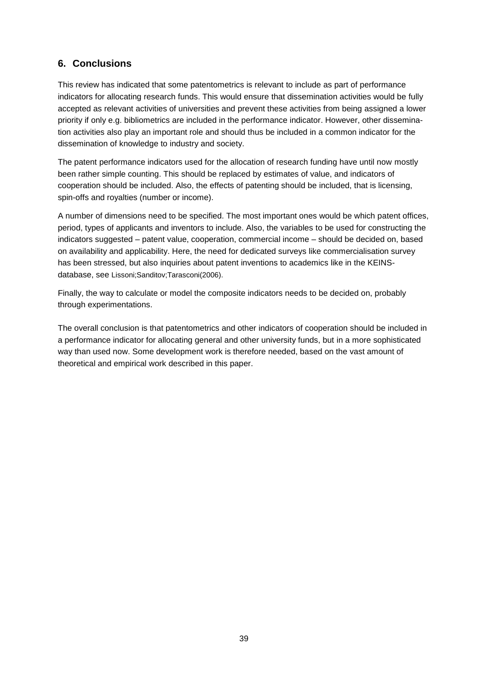### **6. Conclusions**

This review has indicated that some patentometrics is relevant to include as part of performance indicators for allocating research funds. This would ensure that dissemination activities would be fully accepted as relevant activities of universities and prevent these activities from being assigned a lower priority if only e.g. bibliometrics are included in the performance indicator. However, other dissemination activities also play an important role and should thus be included in a common indicator for the dissemination of knowledge to industry and society.

The patent performance indicators used for the allocation of research funding have until now mostly been rather simple counting. This should be replaced by estimates of value, and indicators of cooperation should be included. Also, the effects of patenting should be included, that is licensing, spin-offs and royalties (number or income).

A number of dimensions need to be specified. The most important ones would be which patent offices, period, types of applicants and inventors to include. Also, the variables to be used for constructing the indicators suggested – patent value, cooperation, commercial income – should be decided on, based on availability and applicability. Here, the need for dedicated surveys like commercialisation survey has been stressed, but also inquiries about patent inventions to academics like in the KEINSdatabase, see Lissoni;Sanditov;Tarasconi(2006).

Finally, the way to calculate or model the composite indicators needs to be decided on, probably through experimentations.

The overall conclusion is that patentometrics and other indicators of cooperation should be included in a performance indicator for allocating general and other university funds, but in a more sophisticated way than used now. Some development work is therefore needed, based on the vast amount of theoretical and empirical work described in this paper.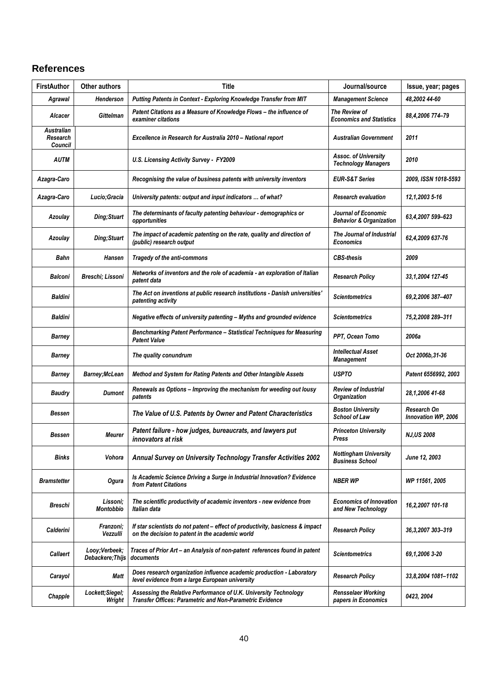## **References**

| <b>FirstAuthor</b>                       | Other authors                     | <b>Title</b>                                                                                                                     | Journal/source                                            | Issue, year; pages                 |
|------------------------------------------|-----------------------------------|----------------------------------------------------------------------------------------------------------------------------------|-----------------------------------------------------------|------------------------------------|
| Agrawal                                  | Henderson                         | Putting Patents in Context - Exploring Knowledge Transfer from MIT                                                               | <b>Management Science</b>                                 | 48,2002 44-60                      |
| <b>Alcacer</b>                           | <b>Gittelman</b>                  | Patent Citations as a Measure of Knowledge Flows - the influence of<br>examiner citations                                        | The Review of<br><b>Economics and Statistics</b>          | 88,4,2006 774-79                   |
| <b>Australian</b><br>Research<br>Council |                                   | Excellence in Research for Australia 2010 - National report                                                                      | <b>Australian Government</b>                              | 2011                               |
| <b>AUTM</b>                              |                                   | U.S. Licensing Activity Survey - FY2009                                                                                          | Assoc. of University<br><b>Technology Managers</b>        | 2010                               |
| Azagra-Caro                              |                                   | Recognising the value of business patents with university inventors                                                              | <b>EUR-S&amp;T Series</b>                                 | 2009, ISSN 1018-5593               |
| Azagra-Caro                              | Lucio;Gracia                      | University patents: output and input indicators  of what?                                                                        | <b>Research evaluation</b>                                | 12,1,2003 5-16                     |
| Azoulay                                  | Ding; Stuart                      | The determinants of faculty patenting behaviour - demographics or<br>opportunities                                               | Journal of Economic<br><b>Behavior &amp; Organization</b> | 63,4,2007 599-623                  |
| Azoulay                                  | Ding; Stuart                      | The impact of academic patenting on the rate, quality and direction of<br>(public) research output                               | The Journal of Industrial<br><b>Economics</b>             | 62,4,2009 637-76                   |
| Bahn                                     | <b>Hansen</b>                     | Tragedy of the anti-commons                                                                                                      | <b>CBS-thesis</b>                                         | 2009                               |
| Balconi                                  | Breschi; Lissoni                  | Networks of inventors and the role of academia - an exploration of Italian<br>patent data                                        | <b>Research Policy</b>                                    | 33,1,2004 127-45                   |
| <b>Baldini</b>                           |                                   | The Act on inventions at public research institutions - Danish universities'<br>patenting activity                               | <b>Scientometrics</b>                                     | 69,2,2006 387-407                  |
| <b>Baldini</b>                           |                                   | Negative effects of university patenting - Myths and grounded evidence                                                           | <b>Scientometrics</b>                                     | 75,2,2008 289-311                  |
| Barney                                   |                                   | Benchmarking Patent Performance - Statistical Techniques for Measuring<br><b>Patent Value</b>                                    | PPT, Ocean Tomo                                           | 2006a                              |
| Barney                                   |                                   | The quality conundrum                                                                                                            | <b>Intellectual Asset</b><br><b>Management</b>            | Oct 2006b, 31-36                   |
| Barney                                   | Barney; McLean                    | Method and System for Rating Patents and Other Intangible Assets                                                                 | <b>USPTO</b>                                              | Patent 6556992, 2003               |
| <b>Baudry</b>                            | <b>Dumont</b>                     | Renewals as Options - Improving the mechanism for weeding out lousy<br>patents                                                   | <b>Review of Industrial</b><br>Organization               | 28,1,2006 41-68                    |
| Bessen                                   |                                   | The Value of U.S. Patents by Owner and Patent Characteristics                                                                    | <b>Boston University</b><br><b>School of Law</b>          | Research On<br>Innovation WP, 2006 |
| Bessen                                   | Meurer                            | Patent failure - how judges, bureaucrats, and lawyers put<br><i>innovators at risk</i>                                           | <b>Princeton University</b><br>Press                      | <b>NJ,US 2008</b>                  |
| Binks                                    | Vohora                            | Annual Survey on University Technology Transfer Activities 2002                                                                  | <b>Nottingham University</b><br><b>Business School</b>    | June 12, 2003                      |
| <b>Bramstetter</b>                       | Ogura                             | Is Academic Science Driving a Surge in Industrial Innovation? Evidence<br>from Patent Citations                                  | <b>NBER WP</b>                                            | WP 11561, 2005                     |
| Breschi                                  | Lissoni:<br>Montobbio             | The scientific productivity of academic inventors - new evidence from<br>Italian data                                            | <b>Economics of Innovation</b><br>and New Technology      | 16,2,2007 101-18                   |
| Calderini                                | Franzoni:<br>Vezzulli             | If star scientists do not patent - effect of productivity, basicness & impact<br>on the decision to patent in the academic world | <b>Research Policy</b>                                    | 36, 3, 2007 303 - 319              |
| Callaert                                 | Looy;Verbeek;<br>Debackere; Thijs | Traces of Prior Art - an Analysis of non-patent references found in patent<br>documents                                          | <b>Scientometrics</b>                                     | 69,1,2006 3-20                     |
| Carayol                                  | Matt                              | Does research organization influence academic production - Laboratory<br>level evidence from a large European university         | <b>Research Policy</b>                                    | 33,8,2004 1081-1102                |
| Chapple                                  | Lockett;Siegel;<br>Wright         | Assessing the Relative Performance of U.K. University Technology<br>Transfer Offices: Parametric and Non-Parametric Evidence     | <b>Rensselaer Working</b><br>papers in Economics          | 0423, 2004                         |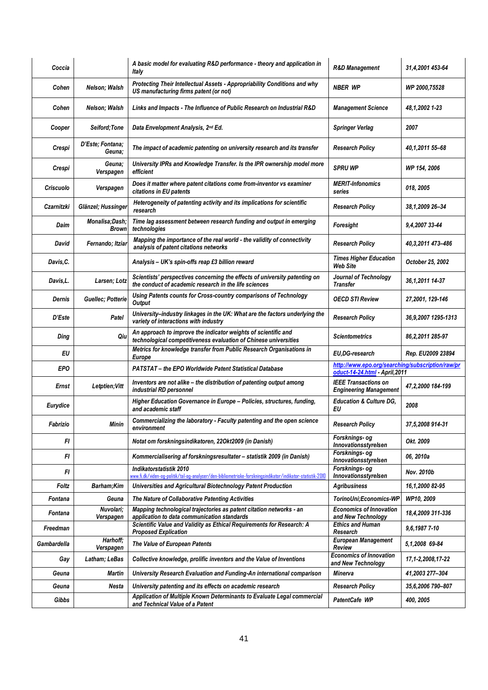| Coccia           |                                | A basic model for evaluating R&D performance - theory and application in<br>Italy                                                     | <b>R&amp;D Management</b>                                                          | 31,4,2001 453-64    |
|------------------|--------------------------------|---------------------------------------------------------------------------------------------------------------------------------------|------------------------------------------------------------------------------------|---------------------|
| Cohen            | Nelson; Walsh                  | Protecting Their Intellectual Assets - Appropriability Conditions and why<br>US manufacturing firms patent (or not)                   | <b>NBER WP</b>                                                                     | WP 2000,75528       |
| Cohen            | Nelson; Walsh                  | Links and Impacts - The Influence of Public Research on Industrial R&D                                                                | <b>Management Science</b>                                                          | 48,1,2002 1-23      |
| Cooper           | Seiford: Tone                  | Data Envelopment Analysis, 2nd Ed.                                                                                                    | <b>Springer Verlag</b>                                                             | 2007                |
| Crespi           | D'Este: Fontana:<br>Geuna:     | The impact of academic patenting on university research and its transfer                                                              | <b>Research Policy</b>                                                             | 40,1,2011 55-68     |
| Crespi           | Geuna:<br>Verspagen            | University IPRs and Knowledge Transfer. Is the IPR ownership model more<br>efficient                                                  | <b>SPRU WP</b>                                                                     | WP 154, 2006        |
| <b>Criscuolo</b> | Verspagen                      | Does it matter where patent citations come from-inventor vs examiner<br>citations in EU patents                                       | <b>MERIT-Infonomics</b><br>series                                                  | 018, 2005           |
| Czarnitzki       | Glänzel; Hussinger             | Heterogeneity of patenting activity and its implications for scientific<br>research                                                   | <b>Research Policy</b>                                                             | 38,1,2009 26-34     |
| Daim             | Monalisa;Dash;<br><b>Brown</b> | Time lag assessment between research funding and output in emerging<br>technologies                                                   | Foresight                                                                          | 9,4,2007 33-44      |
| David            | Fernando; Itziar               | Mapping the importance of the real world - the validity of connectivity<br>analysis of patent citations networks                      | <b>Research Policy</b>                                                             | 40,3,2011 473-486   |
| Davis, C.        |                                | Analysis - UK's spin-offs reap £3 billion reward                                                                                      | <b>Times Higher Education</b><br><b>Web Site</b>                                   | October 25, 2002    |
| Davis,L.         | Larsen; Lotz                   | Scientists' perspectives concerning the effects of university patenting on<br>the conduct of academic research in the life sciences   | Journal of Technology<br><b>Transfer</b>                                           | 36, 1, 2011 14-37   |
| Dernis           | Guellec; Potterie              | Using Patents counts for Cross-country comparisons of Technology<br>Output                                                            | <b>OECD STI Review</b>                                                             | 27,2001, 129-146    |
| D'Este           | Patel                          | University-industry linkages in the UK: What are the factors underlying the<br>variety of interactions with industry                  | <b>Research Policy</b>                                                             | 36,9,2007 1295-1313 |
| Ding             | Qiu                            | An approach to improve the indicator weights of scientific and<br>technological competitiveness evaluation of Chinese universities    | Scientometrics                                                                     | 86, 2, 2011 285-97  |
| EU               |                                | Metrics for knowledge transfer from Public Research Organisations in<br>Europe                                                        | EU,DG-research                                                                     | Rep. EU2009 23894   |
| <b>EPO</b>       |                                | PATSTAT - the EPO Worldwide Patent Statistical Database                                                                               | http://www.epo.org/searching/subscription/raw/pr<br>oduct-14-24.html - April, 2011 |                     |
| Ernst            | Letptien; Vitt                 | Inventors are not alike - the distribution of patenting output among<br>industrial RD personnel                                       | <b>IEEE Transactions on</b><br><b>Engineering Management</b>                       | 47,2,2000 184-199   |
| Eurydice         |                                | Higher Education Governance in Europe - Policies, structures, funding,<br>and academic staff                                          | <b>Education &amp; Culture DG,</b><br>ΕU                                           | 2008                |
| Fabrizio         | Minin                          | Commercializing the laboratory - Faculty patenting and the open science<br>environment                                                | <b>Research Policy</b>                                                             | 37,5,2008 914-31    |
| FI               |                                | Notat om forskningsindikatoren, 22Okt2009 (in Danish)                                                                                 | Forsknings- og<br>Innovationsstyrelsen                                             | Okt. 2009           |
| FI               |                                | Kommercialisering af forskningsresultater - statistik 2009 (in Danish)                                                                | Forsknings- og<br>Innovationsstyrelsen                                             | 06, 2010a           |
| FI               |                                | Indikatorstatistik 2010<br>www.fi.dk/viden-og-politik/tal-og-analyser/den-bibliometriske-forskningsindikator/indikator-statistik-2010 | Forsknings- og<br>Innovationsstyrelsen                                             | Nov. 2010b          |
| Foltz            | Barham;Kim                     | Universities and Agricultural Biotechnology Patent Production                                                                         | <b>Agribusiness</b>                                                                | 16,1,2000 82-95     |
| Fontana          | Geuna                          | The Nature of Collaborative Patenting Activities                                                                                      | TorinoUni;Economics-WP                                                             | WP10, 2009          |
| Fontana          | Nuvolari;<br>Verspagen         | Mapping technological trajectories as patent citation networks - an<br>application to data communication standards                    | <b>Economics of Innovation</b><br>and New Technology                               | 18,4,2009 311-336   |
| Freedman         |                                | Scientific Value and Validity as Ethical Requirements for Research: A<br><b>Proposed Explication</b>                                  | <b>Ethics and Human</b><br>Research                                                | 9.6.1987 7-10       |
| Gambardella      | Harhoff;<br>Verspagen          | The Value of European Patents                                                                                                         | <b>European Management</b><br>Review                                               | 5,1,2008 69-84      |
| Gay              | Latham; LeBas                  | Collective knowledge, prolific inventors and the Value of Inventions                                                                  | <b>Economics of Innovation</b><br>and New Technology                               | 17,1-2,2008,17-22   |
| Geuna            | Martin                         | University Research Evaluation and Funding-An international comparison                                                                | Minerva                                                                            | 41,2003 277-304     |
| Geuna            | Nesta                          | University patenting and its effects on academic research                                                                             | <b>Research Policy</b>                                                             | 35,6,2006 790-807   |
| Gibbs            |                                | Application of Multiple Known Determinants to Evaluate Legal commercial<br>and Technical Value of a Patent                            | PatentCafe WP                                                                      | 400, 2005           |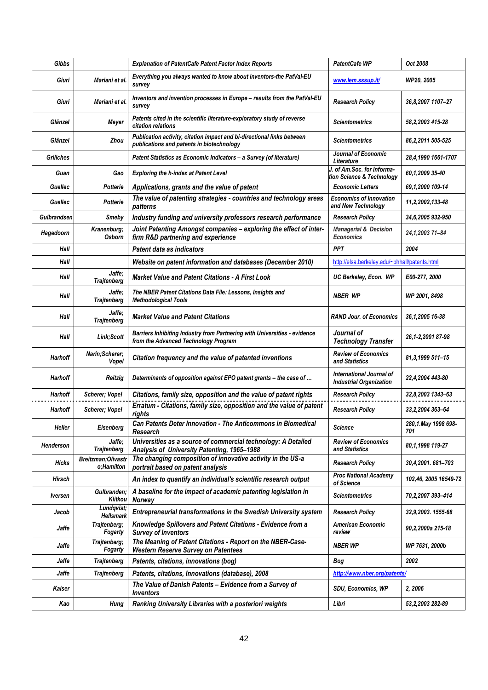| Gibbs              |                                         | <b>Explanation of PatentCafe Patent Factor Index Reports</b>                                                        | <b>PatentCafe WP</b>                                       | Oct 2008                   |
|--------------------|-----------------------------------------|---------------------------------------------------------------------------------------------------------------------|------------------------------------------------------------|----------------------------|
| Giuri              | Mariani et al.                          | Everything you always wanted to know about inventors-the PatVal-EU<br>survey                                        | www.lem.sssup.it/                                          | WP20, 2005                 |
| Giuri              | Mariani et al.                          | Inventors and invention processes in Europe - results from the PatVal-EU<br>survey                                  | <b>Research Policy</b>                                     | 36,8,2007 1107-27          |
| Glänzel            | Meyer                                   | Patents cited in the scientific literature-exploratory study of reverse<br>citation relations                       | Scientometrics                                             | 58,2,2003 415-28           |
| Glänzel            | Zhou                                    | Publication activity, citation impact and bi-directional links between<br>publications and patents in biotechnology | Scientometrics                                             | 86, 2, 2011 505-525        |
| <b>Griliches</b>   |                                         | Patent Statistics as Economic Indicators - a Survey (of literature)                                                 | Journal of Economic<br>Literature                          | 28,4,1990 1661-1707        |
| Guan               | Gao                                     | <b>Exploring the h-index at Patent Level</b>                                                                        | of Am.Soc. for Informa-<br>tion Science & Technology       | 60,1,2009 35-40            |
| Guellec            | Potterie                                | Applications, grants and the value of patent                                                                        | <b>Economic Letters</b>                                    | 69,1,2000 109-14           |
| Guellec            | Potterie                                | The value of patenting strategies - countries and technology areas<br>patterns                                      | <b>Economics of Innovation</b><br>and New Technology       | 11,2,2002,133-48           |
| <b>Gulbrandsen</b> | Smeby                                   | Industry funding and university professors research performance                                                     | <b>Research Policy</b>                                     | 34,6,2005 932-950          |
| Hagedoorn          | Kranenburg;<br><b>Osborn</b>            | Joint Patenting Amongst companies - exploring the effect of inter-<br>firm R&D partnering and experience            | <b>Managerial &amp; Decision</b><br><b>Economics</b>       | 24, 1, 2003 71-84          |
| Hall               |                                         | Patent data as indicators                                                                                           | <b>PPT</b>                                                 | 2004                       |
| Hall               |                                         | Website on patent information and databases (December 2010)                                                         | http://elsa.berkeley.edu/~bhhall/patents.html              |                            |
| Hall               | Jaffe;<br><b>Trajtenberg</b>            | <b>Market Value and Patent Citations - A First Look</b>                                                             | UC Berkeley, Econ. WP                                      | <i>E00-277, 2000</i>       |
| Hall               | Jaffe;<br><b>Trajtenberg</b>            | The NBER Patent Citations Data File: Lessons, Insights and<br><b>Methodological Tools</b>                           | <b>NBER WP</b>                                             | WP 2001, 8498              |
| Hall               | Jaffe;<br><b>Trajtenberg</b>            | <b>Market Value and Patent Citations</b>                                                                            | <b>RAND Jour. of Economics</b>                             | 36,1,2005 16-38            |
| Hall               | Link;Scott                              | Barriers Inhibiting Industry from Partnering with Universities - evidence<br>from the Advanced Technology Program   | Journal of<br><b>Technology Transfer</b>                   | 26,1-2,2001 87-98          |
| Harhoff            | Narin;Scherer;<br>Vopel                 | Citation frequency and the value of patented inventions                                                             | <b>Review of Economics</b><br>and Statistics               | 81, 3, 1999 511-15         |
| Harhoff            | Reitzig                                 | Determinants of opposition against EPO patent grants - the case of                                                  | International Journal of<br><b>Industrial Organization</b> | 22,4,2004 443-80           |
| Harhoff            | Scherer; Vopel                          | Citations, family size, opposition and the value of patent rights                                                   | <b>Research Policy</b>                                     | 32,8,2003 1343-63          |
| Harhoff            | Scherer; Vopel                          | Erratum - Citations, family size, opposition and the value of patent<br>rights                                      | <b>Research Policy</b>                                     | 33, 2, 2004 363-64         |
| Heller             | Eisenberg                               | <b>Can Patents Deter Innovation - The Anticommons in Biomedical</b><br>Research                                     | <b>Science</b>                                             | 280,1.May 1998 698-<br>701 |
| Henderson          | Jaffe;<br><b>Trajtenberg</b>            | Universities as a source of commercial technology: A Detailed<br>Analysis of University Patenting, 1965-1988        | <b>Review of Economics</b><br>and Statistics               | 80,1,1998 119-27           |
| <b>Hicks</b>       | <b>Breitzman:Olivastr</b><br>o;Hamilton | The changing composition of innovative activity in the US-a<br>portrait based on patent analysis                    | <b>Research Policy</b>                                     | 30,4,2001.681-703          |
| Hirsch             |                                         | An index to quantify an individual's scientific research output                                                     | <b>Proc National Academy</b><br>of Science                 | 102,46, 2005 16549-72      |
| <b>Iversen</b>     | Gulbranden;<br>Klitkou                  | A baseline for the impact of academic patenting legislation in<br>Norway                                            | <b>Scientometrics</b>                                      | 70,2,2007 393-414          |
| Jacob              | Lundqvist:<br><b>Hellsmark</b>          | Entrepreneurial transformations in the Swedish University system                                                    | <b>Research Policy</b>                                     | 32,9,2003. 1555-68         |
| Jaffe              | Trajtenberg;<br>Fogarty                 | Knowledge Spillovers and Patent Citations - Evidence from a<br><b>Survey of Inventors</b>                           | <b>American Economic</b><br>review                         | 90,2,2000a 215-18          |
| Jaffe              | Trajtenberg;<br>Fogarty                 | The Meaning of Patent Citations - Report on the NBER-Case-<br><b>Western Reserve Survey on Patentees</b>            | <b>NBER WP</b>                                             | WP 7631, 2000b             |
| Jaffe              | <b>Trajtenberg</b>                      | Patents, citations, innovations (bog)                                                                               | Bog                                                        | 2002                       |
| Jaffe              | <b>Trajtenberg</b>                      | Patents, citations, Innovations (database), 2008                                                                    | http://www.nber.org/patents/                               |                            |
| Kaiser             |                                         | The Value of Danish Patents - Evidence from a Survey of<br><i><b>Inventors</b></i>                                  | SDU, Economics, WP                                         | 2, 2006                    |
| Kao                | Hung                                    | Ranking University Libraries with a posteriori weights                                                              | Libri                                                      | 53,2,2003 282-89           |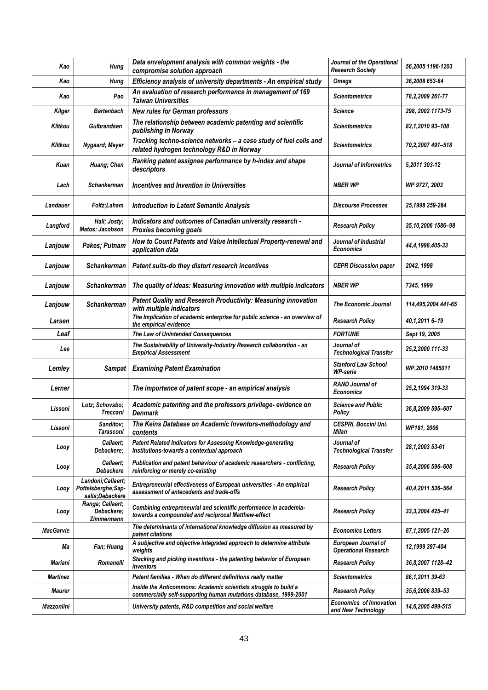| Kao              | Hung                                                        | Data envelopment analysis with common weights - the<br>compromise solution approach                                                 | Journal of the Operational<br><b>Research Society</b> | 56,2005 1196-1203    |
|------------------|-------------------------------------------------------------|-------------------------------------------------------------------------------------------------------------------------------------|-------------------------------------------------------|----------------------|
| Kao              | Hung                                                        | Efficiency analysis of university departments - An empirical study                                                                  | <b>Omega</b>                                          | 36,2008 653-64       |
| Kao              | Pao                                                         | An evaluation of research performance in management of 169<br><b>Taiwan Universities</b>                                            | <b>Scientometrics</b>                                 | 78, 2, 2009 261-77   |
| Kilger           | <b>Bartenbach</b>                                           | <b>New rules for German professors</b>                                                                                              | <b>Science</b>                                        | 298, 2002 1173-75    |
| Klitkou          | <b>Gulbrandsen</b>                                          | The relationship between academic patenting and scientific<br>publishing In Norway                                                  | <b>Scientometrics</b>                                 | 82,1,2010 93-108     |
| Klitkou          | Nygaard; Meyer                                              | Tracking techno-science networks - a case study of fuel cells and<br>related hydrogen technology R&D in Norway                      | Scientometrics                                        | 70,2,2007 491-518    |
| Kuan             | Huang; Chen                                                 | Ranking patent assignee performance by h-index and shape<br>descriptors                                                             | Journal of Informetrics                               | 5,2011 303-12        |
| Lach             | <b>Schankerman</b>                                          | Incentives and Invention in Universities                                                                                            | <b>NBER WP</b>                                        | WP 9727, 2003        |
| Landauer         | Foltz;Laham                                                 | <b>Introduction to Latent Semantic Analysis</b>                                                                                     | <b>Discourse Processes</b>                            | 25,1998 259-284      |
| Langford         | Hall; Josty;<br>Matos; Jacobson                             | Indicators and outcomes of Canadian university research -<br>Proxies becoming goals                                                 | <b>Research Policy</b>                                | 35,10,2006 1586-98   |
| Lanjouw          | Pakes; Putnam                                               | How to Count Patents and Value Intellectual Property-renewal and<br>application data                                                | Journal of Industrial<br><b>Economics</b>             | 44,4,1998,405-33     |
| Lanjouw          | <b>Schankerman</b>                                          | Patent suits-do they distort research incentives                                                                                    | <b>CEPR Discussion paper</b>                          | 2042, 1998           |
| Lanjouw          | <b>Schankerman</b>                                          | The quality of ideas: Measuring innovation with multiple indicators                                                                 | <b>NBER WP</b>                                        | 7345, 1999           |
| Lanjouw          | <b>Schankerman</b>                                          | Patent Quality and Research Productivity: Measuring innovation<br>with multiple indicators                                          | <b>The Economic Journal</b>                           | 114,495,2004 441-65  |
| Larsen           |                                                             | The Implication of academic enterprise for public science - an overview of<br>the empirical evidence                                | <b>Research Policy</b>                                | 40,1,2011 6-19       |
| Leaf             |                                                             | The Law of Unintended Consequences                                                                                                  | <b>FORTUNE</b>                                        | Sept 19, 2005        |
| Lee              |                                                             | The Sustainability of University-Industry Research collaboration - an<br><b>Empirical Assessment</b>                                | Journal of<br><b>Technological Transfer</b>           | 25,2,2000 111-33     |
| Lemley           | Sampat                                                      | <b>Examining Patent Examination</b>                                                                                                 | <b>Stanford Law School</b><br>WP-serie                | WP,2010 1485011      |
| Lerner           |                                                             | The importance of patent scope - an empirical analysis                                                                              | <b>RAND Journal of</b><br><b>Economics</b>            | 25, 2, 1994 319-33   |
| Lissoni          | Lotz; Schovsbo;<br>Treccani                                 | Academic patenting and the professors privilege-evidence on<br><b>Denmark</b>                                                       | <b>Science and Public</b><br><b>Policy</b>            | 36,8,2009 595-607    |
| Lissoni          | Sanditov;<br>Tarasconi                                      | The Keins Database on Academic Inventors-methodology and<br>contents                                                                | CESPRI, Boccini Uni.<br>Milan                         | WP181, 2006          |
| Looy             | Callaert:<br>Debackere:                                     | Patent Related Indicators for Assessing Knowledge-generating<br>Institutions-towards a contextual approach                          | Journal of<br><b>Technological Transfer</b>           | 28,1,2003 53-61      |
| Looy             | Callaert:<br>Debackere                                      | Publication and patent behaviour of academic researchers - conflicting,<br>reinforcing or merely co-existing                        | <b>Research Policy</b>                                | 35,4,2006 596-608    |
| Looy             | Landoni; Callaert;<br>Pottelsberghe;Sap-<br>salis:Debackere | Entrepreneurial effectiveness of European universities - An empirical<br>assessment of antecedents and trade-offs                   | <b>Research Policy</b>                                | 40,4,2011 536-564    |
| Looy             | Ranga; Callaert;<br>Debackere;<br>Zimmermann                | Combining entrepreneurial and scientific performance in academia-<br>towards a compounded and reciprocal Matthew-effect             | <b>Research Policy</b>                                | 33, 3, 2004 425 - 41 |
| <b>MacGarvie</b> |                                                             | The determinants of international knowledge diffusion as measured by<br>patent citations                                            | <b>Economics Letters</b>                              | 87,1,2005 121-26     |
| Мa               | Fan; Huang                                                  | A subjective and objective integrated approach to determine attribute<br>weights                                                    | European Journal of<br><b>Operational Research</b>    | 12,1999 397-404      |
| <b>Mariani</b>   | Romanelli                                                   | Stacking and picking inventions - the patenting behavior of European<br>inventors                                                   | <b>Research Policy</b>                                | 36,8,2007 1128-42    |
| Martinez         |                                                             |                                                                                                                                     |                                                       |                      |
|                  |                                                             | Patent families - When do different definitions really matter                                                                       | <b>Scientometrics</b>                                 | 86,1,2011 39-63      |
| <b>Maurer</b>    |                                                             | Inside the Anticommons: Academic scientists struggle to build a<br>commercially self-supporting human mutations database, 1999-2001 | <b>Research Policy</b>                                | 35,6,2006 839-53     |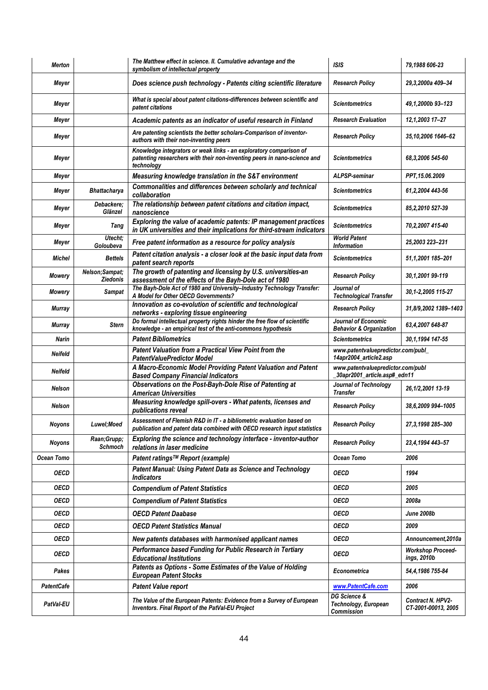| <b>Merton</b>     |                                   | The Matthew effect in science. II. Cumulative advantage and the<br>symbolism of intellectual property                                                        | <b>ISIS</b>                                                       | 79,1988 606-23                          |
|-------------------|-----------------------------------|--------------------------------------------------------------------------------------------------------------------------------------------------------------|-------------------------------------------------------------------|-----------------------------------------|
| Meyer             |                                   | Does science push technology - Patents citing scientific literature                                                                                          | <b>Research Policy</b>                                            | 29,3,2000a 409-34                       |
| Meyer             |                                   | What is special about patent citations-differences between scientific and<br>patent citations                                                                | <b>Scientometrics</b>                                             | 49.1.2000b 93-123                       |
| Meyer             |                                   | Academic patents as an indicator of useful research in Finland                                                                                               | <b>Research Evaluation</b>                                        | 12,1,2003 17-27                         |
| Meyer             |                                   | Are patenting scientists the better scholars-Comparison of inventor-<br>authors with their non-inventing peers                                               | <b>Research Policy</b>                                            | 35,10,2006 1646-62                      |
| Meyer             |                                   | Knowledge integrators or weak links - an exploratory comparison of<br>patenting researchers with their non-inventing peers in nano-science and<br>technoloav | <b>Scientometrics</b>                                             | 68,3,2006 545-60                        |
| Meyer             |                                   | Measuring knowledge translation in the S&T environment                                                                                                       | <b>ALPSP-seminar</b>                                              | PPT, 15.06.2009                         |
| Meyer             | <b>Bhattacharya</b>               | Commonalities and differences between scholarly and technical<br>collaboration                                                                               | <b>Scientometrics</b>                                             | 61,2,2004 443-56                        |
| Meyer             | Debackere;<br>Glänzel             | The relationship between patent citations and citation impact,<br>nanoscience                                                                                | <b>Scientometrics</b>                                             | 85, 2, 2010 527-39                      |
| Meyer             | Tang                              | Exploring the value of academic patents: IP management practices<br>in UK universities and their implications for third-stream indicators                    | <b>Scientometrics</b>                                             | 70,2,2007 415-40                        |
| Meyer             | Utecht:<br>Goloubeva              | Free patent information as a resource for policy analysis                                                                                                    | <b>World Patent</b><br><b>Information</b>                         | 25,2003 223-231                         |
| Michel            | <b>Bettels</b>                    | Patent citation analysis - a closer look at the basic input data from<br>patent search reports                                                               | <b>Scientometrics</b>                                             | 51,1,2001 185-201                       |
| Mowery            | Nelson;Sampat;<br><b>Ziedonis</b> | The growth of patenting and licensing by U.S. universities-an<br>assessment of the effects of the Bayh-Dole act of 1980                                      | <b>Research Policy</b>                                            | 30,1,2001 99-119                        |
| <b>Mowery</b>     | <b>Sampat</b>                     | The Bayh-Dole Act of 1980 and University-Industry Technology Transfer:<br>A Model for Other OECD Governments?                                                | Journal of<br><b>Technological Transfer</b>                       | 30,1-2,2005 115-27                      |
| <b>Murray</b>     |                                   | Innovation as co-evolution of scientific and technological<br>networks - exploring tissue engineering                                                        | <b>Research Policy</b>                                            | 31,8/9,2002 1389-1403                   |
| <b>Murray</b>     | <b>Stern</b>                      | Do formal intellectual property rights hinder the free flow of scientific<br>knowledge - an empirical test of the anti-commons hypothesis                    | Journal of Economic<br><b>Behavior &amp; Organization</b>         | 63,4,2007 648-87                        |
|                   |                                   |                                                                                                                                                              |                                                                   |                                         |
| Narin             |                                   | <b>Patent Bibliometrics</b>                                                                                                                                  | <b>Scientometrics</b>                                             | 30,1,1994 147-55                        |
| <b>Neifeld</b>    |                                   | Patent Valuation from a Practical View Point from the<br><b>PatentValuePredictor Model</b>                                                                   | www.patentvaluepredictor.com/publ_<br>14apr2004_article2.asp      |                                         |
| <b>Neifeld</b>    |                                   | A Macro-Economic Model Providing Patent Valuation and Patent<br><b>Based Company Financial Indicators</b>                                                    | www.patentvaluepredictor.com/publ<br>30apr2001_article.asp#_edn11 |                                         |
| <b>Nelson</b>     |                                   | Observations on the Post-Bayh-Dole Rise of Patenting at<br><b>American Universities</b>                                                                      | Journal of Technology<br><b>Transfer</b>                          | 26,1/2,2001 13-19                       |
| Nelson            |                                   | Measuring knowledge spill-overs - What patents, licenses and<br>publications reveal                                                                          | <b>Research Policy</b>                                            | 38,6,2009 994-1005                      |
| Noyons            | Luwel;Moed                        | Assessment of Flemish R&D in IT - a bibliometric evaluation based on<br>publication and patent data combined with OECD research input statistics             | <b>Research Policy</b>                                            | 27,3,1998 285-300                       |
| Noyons            | Raan;Grupp;<br>Schmoch            | Exploring the science and technology interface - inventor-author                                                                                             | <b>Research Policy</b>                                            | 23,4,1994 443-57                        |
| Ocean Tomo        |                                   | relations in laser medicine<br>Patent ratings™ Report (example)                                                                                              | Ocean Tomo                                                        | 2006                                    |
| <b>OECD</b>       |                                   | Patent Manual: Using Patent Data as Science and Technology<br><b>Indicators</b>                                                                              | <b>OECD</b>                                                       | 1994                                    |
| <b>OECD</b>       |                                   | <b>Compendium of Patent Statistics</b>                                                                                                                       | <b>OECD</b>                                                       | 2005                                    |
| <b>OECD</b>       |                                   | <b>Compendium of Patent Statistics</b>                                                                                                                       | <b>OECD</b>                                                       | 2008a                                   |
| <b>OECD</b>       |                                   | <b>OECD Patent Daabase</b>                                                                                                                                   | <b>OECD</b>                                                       | <b>June 2008b</b>                       |
| <b>OECD</b>       |                                   | <b>OECD Patent Statistics Manual</b>                                                                                                                         | <b>OECD</b>                                                       | 2009                                    |
| <b>OECD</b>       |                                   | New patents databases with harmonised applicant names                                                                                                        | <b>OECD</b>                                                       | Announcement, 2010a                     |
| <b>OECD</b>       |                                   | Performance based Funding for Public Research in Tertiary<br><b>Educational Institutions</b>                                                                 | <b>OECD</b>                                                       | <b>Workshop Proceed-</b><br>ings, 2010b |
| Pakes             |                                   | Patents as Options - Some Estimates of the Value of Holding<br><b>European Patent Stocks</b>                                                                 | <b>Econometrica</b>                                               | 54,4,1986 755-84                        |
| <b>PatentCafe</b> |                                   | <b>Patent Value report</b>                                                                                                                                   | www.PatentCafe.com                                                | 2006                                    |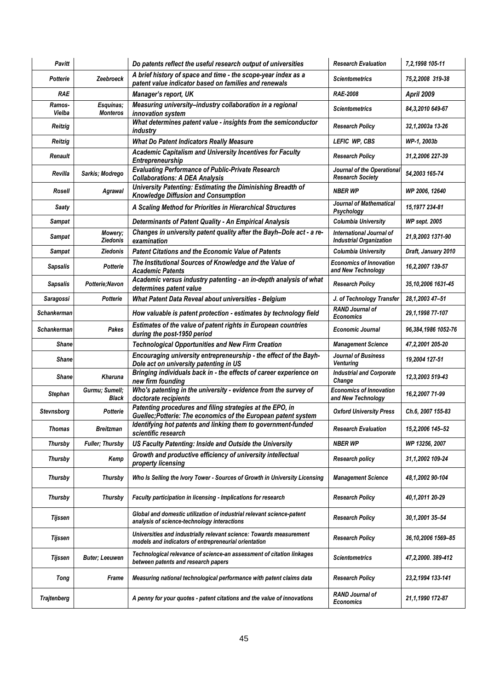| <b>Pavitt</b>      |                              | Do patents reflect the useful research output of universities                                                               | <b>Research Evaluation</b>                                 | 7,2,1998 105-11      |
|--------------------|------------------------------|-----------------------------------------------------------------------------------------------------------------------------|------------------------------------------------------------|----------------------|
| Potterie           | Zeebroeck                    | A brief history of space and time - the scope-year index as a<br>patent value indicator based on families and renewals      | <b>Scientometrics</b>                                      | 75,2,2008 319-38     |
| <b>RAE</b>         |                              | Manager's report, UK                                                                                                        | <b>RAE-2008</b>                                            | <b>April 2009</b>    |
| Ramos-<br>Vielba   | Esquinas:<br><b>Monteros</b> | Measuring university-industry collaboration in a regional<br>innovation system                                              | <b>Scientometrics</b>                                      | 84,3,2010 649-67     |
| Reitzig            |                              | What determines patent value - insights from the semiconductor<br>industry                                                  | <b>Research Policy</b>                                     | 32,1,2003a 13-26     |
| Reitzig            |                              | <b>What Do Patent Indicators Really Measure</b>                                                                             | LEFIC WP, CBS                                              | WP-1, 2003b          |
| Renault            |                              | Academic Capitalism and University Incentives for Faculty<br>Entrepreneurship                                               | <b>Research Policy</b>                                     | 31,2,2006 227-39     |
| Revilla            | Sarkis; Modrego              | <b>Evaluating Performance of Public-Private Research</b><br><b>Collaborations: A DEA Analysis</b>                           | Journal of the Operational<br><b>Research Societv</b>      | 54,2003 165-74       |
| Rosell             | Agrawal                      | University Patenting: Estimating the Diminishing Breadth of<br><b>Knowledge Diffusion and Consumption</b>                   | <b>NBER WP</b>                                             | WP 2006, 12640       |
| Saaty              |                              | A Scaling Method for Priorities in Hierarchical Structures                                                                  | Journal of Mathematical<br>Psychology                      | 15,1977 234-81       |
| <b>Sampat</b>      |                              | Determinants of Patent Quality - An Empirical Analysis                                                                      | <b>Columbia University</b>                                 | <b>WP sept. 2005</b> |
| Sampat             | Mowery;<br><b>Ziedonis</b>   | Changes in university patent quality after the Bayh-Dole act - a re-<br>examination                                         | International Journal of<br><b>Industrial Organization</b> | 21,9,2003 1371-90    |
| <b>Sampat</b>      | Ziedonis                     | <b>Patent Citations and the Economic Value of Patents</b>                                                                   | Columbia University                                        | Draft, January 2010  |
| Sapsalis           | Potterie                     | The Institutional Sources of Knowledge and the Value of<br><b>Academic Patents</b>                                          | <b>Economics of Innovation</b><br>and New Technology       | 16,2,2007 139-57     |
| <b>Sapsalis</b>    | Potterie;Navon               | Academic versus industry patenting - an in-depth analysis of what<br>determines patent value                                | <b>Research Policy</b>                                     | 35,10,2006 1631-45   |
| Saragossi          | <b>Potterie</b>              | What Patent Data Reveal about universities - Belgium                                                                        | J. of Technology Transfer                                  | 28,1,2003 47-51      |
| <b>Schankerman</b> |                              | How valuable is patent protection - estimates by technology field                                                           | <b>RAND Journal of</b><br><b>Economics</b>                 | 29,1,1998 77-107     |
| <b>Schankerman</b> | Pakes                        | Estimates of the value of patent rights in European countries<br>during the post-1950 period                                | <b>Economic Journal</b>                                    | 96,384,1986 1052-76  |
| Shane              |                              | <b>Technological Opportunities and New Firm Creation</b>                                                                    | <b>Management Science</b>                                  | 47,2,2001 205-20     |
| <b>Shane</b>       |                              | Encouraging university entrepreneurship - the effect of the Bayh-<br>Dole act on university patenting in US                 | Journal of Business<br>Venturing                           | 19,2004 127-51       |
| <b>Shane</b>       | <b>Kharuna</b>               | Bringing individuals back in - the effects of career experience on<br>new firm founding                                     | <b>Industrial and Corporate</b><br>Change                  | 12,3,2003 519-43     |
| Stephan            | Gurmu; Sumell;<br>Black      | Who's patenting in the university - evidence from the survey of<br>doctorate recipients                                     | <b>Economics of Innovation</b><br>and New Technology       | 16,2,2007 71-99      |
| Stevnsborg         | Potterie                     | Patenting procedures and filing strategies at the EPO, in<br>Guellec; Potterie: The economics of the European patent system | <b>Oxford University Press</b>                             | Ch.6, 2007 155-83    |
| <b>Thomas</b>      | Breitzman                    | Identifying hot patents and linking them to government-funded<br>scientific research                                        | <b>Research Evaluation</b>                                 | 15,2,2006 145-52     |
| Thursby            | <b>Fuller</b> ; Thursby      | US Faculty Patenting: Inside and Outside the University                                                                     | <b>NBER WP</b>                                             | WP 13256, 2007       |
| Thursby            | Kemp                         | Growth and productive efficiency of university intellectual<br>property licensing                                           | Research policy                                            | 31,1,2002 109-24     |
| Thursby            | Thursby                      | Who Is Selling the Ivory Tower - Sources of Growth in University Licensing                                                  | <b>Management Science</b>                                  | 48,1,2002 90-104     |
| Thursby            | Thursby                      | Faculty participation in licensing - Implications for research                                                              | <b>Research Policy</b>                                     | 40,1,2011 20-29      |
| Tijssen            |                              | Global and domestic utilization of industrial relevant science-patent<br>analysis of science-technology interactions        | <b>Research Policy</b>                                     | 30,1,2001 35-54      |
| Tijssen            |                              | Universities and industrially relevant science: Towards measurement<br>models and indicators of entrepreneurial orientation | <b>Research Policy</b>                                     | 36,10,2006 1569-85   |
| Tijssen            | <b>Buter</b> ; Leeuwen       | Technological relevance of science-an assessment of citation linkages<br>between patents and research papers                | <b>Scientometrics</b>                                      | 47,2,2000.389-412    |
| Tong               | Frame                        | Measuring national technological performance with patent claims data                                                        | <b>Research Policy</b>                                     | 23, 2, 1994 133-141  |
| <b>Trajtenberg</b> |                              | A penny for your quotes - patent citations and the value of innovations                                                     | <b>RAND Journal of</b><br><b>Economics</b>                 | 21,1,1990 172-87     |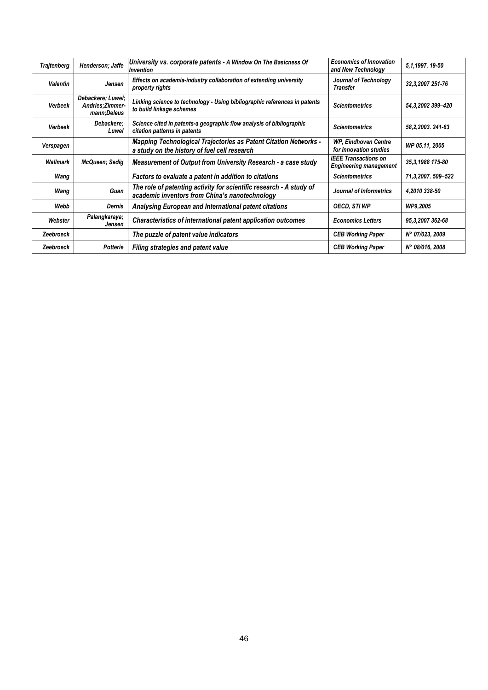| <b>Trajtenberg</b> | Henderson; Jaffe                                     | University vs. corporate patents - A Window On The Basicness Of<br><i><u><b>Invention</b></u></i>                     | <b>Economics of Innovation</b><br>and New Technology         | 5, 1, 1997. 19-50   |
|--------------------|------------------------------------------------------|-----------------------------------------------------------------------------------------------------------------------|--------------------------------------------------------------|---------------------|
| Valentin           | Jensen                                               | Effects on academia-industry collaboration of extending university<br>property rights                                 | Journal of Technology<br>Transfer                            | 32,3,2007 251-76    |
| <b>Verbeek</b>     | Debackere; Luwel;<br>Andries; Zimmer-<br>mann;Deleus | Linking science to technology - Using bibliographic references in patents<br>to build linkage schemes                 | <b>Scientometrics</b>                                        | 54, 3, 2002 399-420 |
| <b>Verbeek</b>     | Debackere:<br>Luwel                                  | Science cited in patents-a geographic flow analysis of bibliographic<br>citation patterns in patents                  | <b>Scientometrics</b>                                        | 58, 2, 2003. 241-63 |
| Verspagen          |                                                      | Mapping Technological Trajectories as Patent Citation Networks -<br>a study on the history of fuel cell research      | <b>WP, Eindhoven Centre</b><br>for Innovation studies        | WP 05.11.2005       |
| Wallmark           | <b>McQueen</b> ; Sedig                               | Measurement of Output from University Research - a case study                                                         | <b>IEEE Transactions on</b><br><b>Engineering management</b> | 35, 3, 1988 175-80  |
| Wang               |                                                      | Factors to evaluate a patent in addition to citations                                                                 | <b>Scientometrics</b>                                        | 71,3,2007.509-522   |
| Wang               | Guan                                                 | The role of patenting activity for scientific research - A study of<br>academic inventors from China's nanotechnology | Journal of Informetrics                                      | 4,2010 338-50       |
| Webb               | Dernis                                               | Analysing European and International patent citations                                                                 | <b>OECD, STI WP</b>                                          | WP9,2005            |
| Webster            | Palangkaraya;<br>Jensen                              | Characteristics of international patent application outcomes                                                          | <b>Economics Letters</b>                                     | 95, 3, 2007 362-68  |
| Zeebroeck          |                                                      | The puzzle of patent value indicators                                                                                 | <b>CEB Working Paper</b>                                     | N° 07/023, 2009     |
| Zeebroeck          | Potterie                                             | <b>Filing strategies and patent value</b>                                                                             | <b>CEB Working Paper</b>                                     | N° 08/016, 2008     |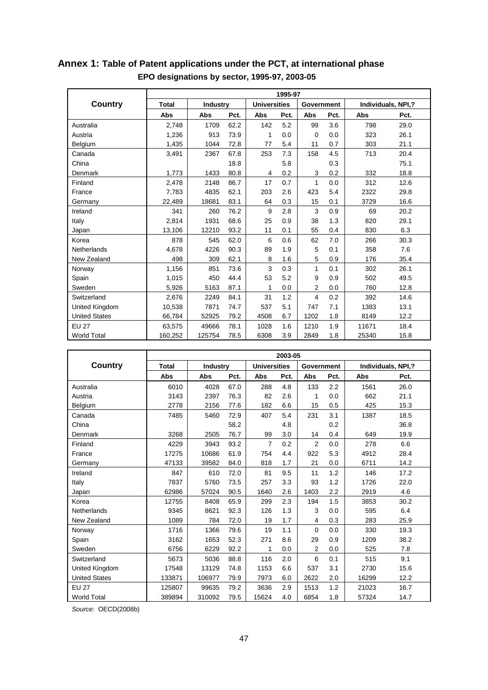|                      | 1995-97      |                 |      |                     |      |              |      |                    |      |  |
|----------------------|--------------|-----------------|------|---------------------|------|--------------|------|--------------------|------|--|
| Country              | <b>Total</b> | <b>Industry</b> |      | <b>Universities</b> |      | Government   |      | Individuals, NPI,? |      |  |
|                      | <b>Abs</b>   | <b>Abs</b>      | Pct. | Abs                 | Pct. | Abs          | Pct. | Abs                | Pct. |  |
| Australia            | 2,748        | 1709            | 62.2 | 142                 | 5.2  | 99           | 3.6  | 798                | 29.0 |  |
| Austria              | 1,236        | 913             | 73.9 | 1                   | 0.0  | $\Omega$     | 0.0  | 323                | 26.1 |  |
| Belgium              | 1,435        | 1044            | 72.8 | 77                  | 5.4  | 11           | 0.7  | 303                | 21.1 |  |
| Canada               | 3,491        | 2367            | 67.8 | 253                 | 7.3  | 158          | 4.5  | 713                | 20.4 |  |
| China                |              |                 | 18.8 |                     | 5.8  |              | 0.3  |                    | 75.1 |  |
| Denmark              | 1,773        | 1433            | 80.8 | 4                   | 0.2  | 3            | 0.2  | 332                | 18.8 |  |
| Finland              | 2,478        | 2148            | 86.7 | 17                  | 0.7  | $\mathbf{1}$ | 0.0  | 312                | 12.6 |  |
| France               | 7,783        | 4835            | 62.1 | 203                 | 2.6  | 423          | 5.4  | 2322               | 29.8 |  |
| Germany              | 22,489       | 18681           | 83.1 | 64                  | 0.3  | 15           | 0.1  | 3729               | 16.6 |  |
| Ireland              | 341          | 260             | 76.2 | 9                   | 2.8  | 3            | 0.9  | 69                 | 20.2 |  |
| Italy                | 2,814        | 1931            | 68.6 | 25                  | 0.9  | 38           | 1.3  | 820                | 29.1 |  |
| Japan                | 13,106       | 12210           | 93.2 | 11                  | 0.1  | 55           | 0.4  | 830                | 6.3  |  |
| Korea                | 878          | 545             | 62.0 | 6                   | 0.6  | 62           | 7.0  | 266                | 30.3 |  |
| Netherlands          | 4,678        | 4226            | 90.3 | 89                  | 1.9  | 5            | 0.1  | 358                | 7.6  |  |
| New Zealand          | 498          | 309             | 62.1 | 8                   | 1.6  | 5            | 0.9  | 176                | 35.4 |  |
| Norway               | 1,156        | 851             | 73.6 | 3                   | 0.3  | 1            | 0.1  | 302                | 26.1 |  |
| Spain                | 1,015        | 450             | 44.4 | 53                  | 5.2  | 9            | 0.9  | 502                | 49.5 |  |
| Sweden               | 5,926        | 5163            | 87.1 | 1                   | 0.0  | 2            | 0.0  | 760                | 12.8 |  |
| Switzerland          | 2,676        | 2249            | 84.1 | 31                  | 1.2  | 4            | 0.2  | 392                | 14.6 |  |
| United Kingdom       | 10,538       | 7871            | 74.7 | 537                 | 5.1  | 747          | 7.1  | 1383               | 13.1 |  |
| <b>United States</b> | 66,784       | 52925           | 79.2 | 4508                | 6.7  | 1202         | 1.8  | 8149               | 12.2 |  |
| <b>EU 27</b>         | 63,575       | 49666           | 78.1 | 1028                | 1.6  | 1210         | 1.9  | 11671              | 18.4 |  |
| <b>World Total</b>   | 160,252      | 125754          | 78.5 | 6308                | 3.9  | 2849         | 1.8  | 25340              | 15.8 |  |

### **Annex 1: Table of Patent applications under the PCT, at international phase EPO designations by sector, 1995-97, 2003-05**

|                      | 2003-05      |                 |      |                     |      |                   |      |                    |      |  |
|----------------------|--------------|-----------------|------|---------------------|------|-------------------|------|--------------------|------|--|
| Country              | <b>Total</b> | <b>Industry</b> |      | <b>Universities</b> |      | <b>Government</b> |      | Individuals, NPI,? |      |  |
|                      | <b>Abs</b>   | Abs             | Pct. | Abs                 | Pct. | Abs               | Pct. | Abs                | Pct. |  |
| Australia            | 6010         | 4028            | 67.0 | 288                 | 4.8  | 133               | 2.2  | 1561               | 26.0 |  |
| Austria              | 3143         | 2397            | 76.3 | 82                  | 2.6  | 1                 | 0.0  | 662                | 21.1 |  |
| Belgium              | 2778         | 2156            | 77.6 | 182                 | 6.6  | 15                | 0.5  | 425                | 15.3 |  |
| Canada               | 7485         | 5460            | 72.9 | 407                 | 5.4  | 231               | 3.1  | 1387               | 18.5 |  |
| China                |              |                 | 58.2 |                     | 4.8  |                   | 0.2  |                    | 36.8 |  |
| Denmark              | 3268         | 2505            | 76.7 | 99                  | 3.0  | 14                | 0.4  | 649                | 19.9 |  |
| Finland              | 4229         | 3943            | 93.2 | $\overline{7}$      | 0.2  | 2                 | 0.0  | 278                | 6.6  |  |
| France               | 17275        | 10686           | 61.9 | 754                 | 4.4  | 922               | 5.3  | 4912               | 28.4 |  |
| Germany              | 47133        | 39582           | 84.0 | 818                 | 1.7  | 21                | 0.0  | 6711               | 14.2 |  |
| Ireland              | 847          | 610             | 72.0 | 81                  | 9.5  | 11                | 1.2  | 146                | 17.2 |  |
| Italy                | 7837         | 5760            | 73.5 | 257                 | 3.3  | 93                | 1.2  | 1726               | 22.0 |  |
| Japan                | 62986        | 57024           | 90.5 | 1640                | 2.6  | 1403              | 2.2  | 2919               | 4.6  |  |
| Korea                | 12755        | 8408            | 65.9 | 299                 | 2.3  | 194               | 1.5  | 3853               | 30.2 |  |
| Netherlands          | 9345         | 8621            | 92.3 | 126                 | 1.3  | 3                 | 0.0  | 595                | 6.4  |  |
| New Zealand          | 1089         | 784             | 72.0 | 19                  | 1.7  | 4                 | 0.3  | 283                | 25.9 |  |
| Norway               | 1716         | 1366            | 79.6 | 19                  | 1.1  | 0                 | 0.0  | 330                | 19.3 |  |
| Spain                | 3162         | 1653            | 52.3 | 271                 | 8.6  | 29                | 0.9  | 1209               | 38.2 |  |
| Sweden               | 6756         | 6229            | 92.2 | 1                   | 0.0  | 2                 | 0.0  | 525                | 7.8  |  |
| Switzerland          | 5673         | 5036            | 88.8 | 116                 | 2.0  | 6                 | 0.1  | 515                | 9.1  |  |
| United Kingdom       | 17548        | 13129           | 74.8 | 1153                | 6.6  | 537               | 3.1  | 2730               | 15.6 |  |
| <b>United States</b> | 133871       | 106977          | 79.9 | 7973                | 6.0  | 2622              | 2.0  | 16299              | 12.2 |  |
| <b>EU 27</b>         | 125807       | 99635           | 79.2 | 3636                | 2.9  | 1513              | 1.2  | 21023              | 16.7 |  |
| <b>World Total</b>   | 389894       | 310092          | 79.5 | 15624               | 4.0  | 6854              | 1.8  | 57324              | 14.7 |  |

*Source:* OECD(2008b)